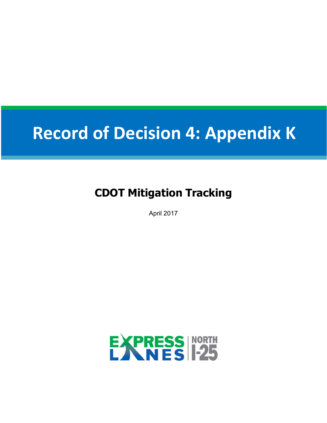# **Record of Decision 4: Appendix K**

## **CDOT Mitigation Tracking**

April 2017

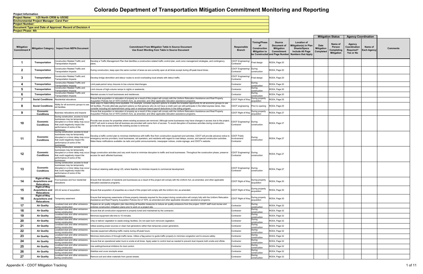|                                   |                                                                      |                                                                                                                                                                                               |                                                                                                                                                                                                                                                                                                                                                                                                                                                                |                                        |                                                                   |                                                                                            |                                                                                                                     |                                        | <b>Mitigation Status</b>                             | <b>Agency Coordination</b>                       |                               |          |
|-----------------------------------|----------------------------------------------------------------------|-----------------------------------------------------------------------------------------------------------------------------------------------------------------------------------------------|----------------------------------------------------------------------------------------------------------------------------------------------------------------------------------------------------------------------------------------------------------------------------------------------------------------------------------------------------------------------------------------------------------------------------------------------------------------|----------------------------------------|-------------------------------------------------------------------|--------------------------------------------------------------------------------------------|---------------------------------------------------------------------------------------------------------------------|----------------------------------------|------------------------------------------------------|--------------------------------------------------|-------------------------------|----------|
| <b>Mitigation</b><br>Commitment # |                                                                      | Mitigation Category   Impact from NEPA Document                                                                                                                                               | <b>Commitment From Mitigation Table In Source Document</b><br>Use Exact Wording from Table in Source Document                                                                                                                                                                                                                                                                                                                                                  | Responsible<br><b>Branch</b>           | <b>Timing/Phase</b><br>οf<br>Construction<br><b>Mitigation to</b> | Source<br>Document of<br><b>Mitigation</b><br>Commitment<br>be Constructed and Page Number | <b>Location of</b><br>fitigation(s) in Plan<br><b>Sheets/Specs</b><br>Include All Page<br><b>Numbers that Apply</b> | Date<br><b>Mitigation</b><br>Completed | Name of<br>Person<br>Completing<br><b>Mitigation</b> | Agency<br>Coordination<br>Required?<br>Yes or No | Name of<br><b>Each Agency</b> | Comments |
|                                   | Transportation                                                       | Construction Related Traffic and<br><b>Transportation Impacts</b>                                                                                                                             | Develop a Traffic Management Plan that identifies a construction-related traffic control plan, work zone management strategies, and contingency<br>plans.                                                                                                                                                                                                                                                                                                      | CDOT Engineering/<br>Contractor        | Final design                                                      | ROD4, Page 20                                                                              |                                                                                                                     |                                        |                                                      |                                                  |                               |          |
| $\mathbf{2}$                      | Transportation                                                       | Construction Related Traffic and<br><b>Transportation Impacts</b>                                                                                                                             | During construction, keep open the same number of lanes as are currently open at all times except during off-peak travel times.                                                                                                                                                                                                                                                                                                                                | CDOT Engineering/ During<br>Contractor | construction                                                      | ROD4, Page 20                                                                              |                                                                                                                     |                                        |                                                      |                                                  |                               |          |
| 3                                 | Transportation                                                       | Construction Related Traffic and<br><b>Transportation Impacts</b>                                                                                                                             | Develop bridge demolition and detour routes to avoid overloading local streets with detour traffic.                                                                                                                                                                                                                                                                                                                                                            | CDOT Engineering/<br>Contractor        | Final design                                                      | ROD4, Page 20                                                                              |                                                                                                                     |                                        |                                                      |                                                  |                               |          |
|                                   | Transportation                                                       | Construction Related Traffic and<br>ransportation Impacts                                                                                                                                     | imit peak-period ramp closures to low-volume interchanges.                                                                                                                                                                                                                                                                                                                                                                                                     | Contractor                             | During<br>construction                                            | ROD4, Page 20                                                                              |                                                                                                                     |                                        |                                                      |                                                  |                               |          |
| 5                                 | Transportation                                                       | Construction Related Traffic and<br><b>Transportation Impacts</b>                                                                                                                             | imit closure of high-volume ramps to nights or weekends                                                                                                                                                                                                                                                                                                                                                                                                        | Contractor                             | During<br>construction                                            | ROD4, Page 20                                                                              |                                                                                                                     |                                        |                                                      |                                                  |                               |          |
|                                   | Transportation                                                       | Construction Related Traffic and<br><b>Transportation Impacts</b>                                                                                                                             | Aaintain access to local businesses and residences                                                                                                                                                                                                                                                                                                                                                                                                             | Contractor                             | During<br>construction                                            | ROD4, Page 20                                                                              |                                                                                                                     |                                        |                                                      |                                                  |                               |          |
|                                   | <b>Social Conditions</b>                                             | Residential relocations                                                                                                                                                                       | Ensure that acquisition or relocation of property as a result of this project will comply with the Uniform Relocation Assistance and Real Property<br>Acquisition Policies Act of 1970 (Uniform Act), as amended, and other applicable relocation assistance programs.                                                                                                                                                                                         | CDOT Right of Way                      | During property<br>acquisition                                    | ROD4, Page 25                                                                              |                                                                                                                     |                                        |                                                      |                                                  |                               |          |
| 8                                 | <b>Social Conditions</b>                                             | Ability for all economic groups to use<br>toll facilities                                                                                                                                     | Seek ways to make tolling more equitable. For example, consider payment options to enable the broadest opportunity for all economic groups to use<br>oll facilities. Provide alternate payment options so that persons who do not have a credit card can still participate in the tolled express lanes. Also<br>onsider including toll replenishment using cash or employer-based payroll deductions in the tolling program                                    | CDOT engineering Prior to opening      |                                                                   | ROD4, Page 25                                                                              |                                                                                                                     |                                        |                                                      |                                                  |                               |          |
| 9                                 | Economic<br><b>Conditions</b>                                        | Business relocations and impacts                                                                                                                                                              | Ensure that acquisition or relocation of property as a result of this project will comply with the Uniform Relocation Assistance and Real Property<br>Acquisition Policies Act of 1970 (Uniform Act), as amended, and other applicable relocation assistance programs.                                                                                                                                                                                         | CDOT Right of Way                      | During property<br>acquisition                                    | ROD4, Page 27                                                                              |                                                                                                                     |                                        |                                                      |                                                  |                               |          |
| 10                                | Economic<br><b>Conditions</b>                                        | During construction, access to local<br>businesses may be temporarily<br>disrupted or a minor delay may occur<br>that could negatively impact the<br>performance of some of the<br>ousinesses | rovide new access for properties where existing accesses are removed. Although some businesses may have changes in access due to the project,<br>CDOT will work to ensure that all business are provided with some form of access. To avoid disruption of business activities during construction,<br>provide the new access before the existing access is removed.                                                                                            | CDOT Engineering/ During<br>Contractor | construction                                                      | ROD4, Page 27                                                                              |                                                                                                                     |                                        |                                                      |                                                  |                               |          |
| 11                                | Economic<br><b>Conditions</b>                                        | During construction, access to local<br>businesses may be temporarily<br>disrupted or a minor delay may occur<br>that could negatively impact the<br>performance of some of the<br>ousinesses | Develop a traffic control plan to minimize interference with traffic flow from construction equipment and activities. CDOT will provide advance notice to CDOT Public<br>mergency service providers, local businesses, rail operators, and residents with regard to road delays, access, and special construction activities.<br>Make these notifications available via radio and public announcements, newspaper notices, onsite signage, and CDOT's website. | /volvement<br>Contractor               | During<br>construction                                            | ROD4, Page 27                                                                              |                                                                                                                     |                                        |                                                      |                                                  |                               |          |
| 12                                | Economic<br><b>Conditions</b>                                        | During construction, access to local<br>businesses may be temporarily<br>that could negatively impact the<br>performance of some of the<br>ousinesses                                         | disrupted or a minor delay may occur Stage construction activities and vary work hours to minimize disruption to traffic and local businesses. Throughout the construction phase, preserve<br>access for each affected business                                                                                                                                                                                                                                | CDOT Engineering/ During<br>Contractor | construction                                                      | ROD4, Page 27                                                                              |                                                                                                                     |                                        |                                                      |                                                  |                               |          |
| -13                               | Economic<br><b>Conditions</b>                                        | During construction, access to local<br>businesses may be temporarily<br>disrupted or a minor delay may occur<br>that could negatively impact the<br>performance of some of the<br>businesses | Construct retaining walls along I-25, where feasible, to minimize impacts to commercial development                                                                                                                                                                                                                                                                                                                                                            | CDOT Engineering/ During<br>Contractor | construction                                                      | ROD4, Page 27                                                                              |                                                                                                                     |                                        |                                                      |                                                  |                               |          |
| 14                                | Right-of-Way<br><b>Acquisitions and</b><br><b>Relocations</b>        | ive business and four residential<br>elocations                                                                                                                                               | insure that relocation of residents and businesses as a result of this project will comply with the Uniform Act, as amended, and other applicable<br>relocation assistance programs                                                                                                                                                                                                                                                                            | CDOT Right of Way                      | During property<br>acquisition                                    | ROD4, Page 30                                                                              |                                                                                                                     |                                        |                                                      |                                                  |                               |          |
| 15                                | Right-of-Way<br><b>Acquisitions and</b><br><b>Relocations</b>        | 233.42 acres of acquisition                                                                                                                                                                   | nsure that acquisition of properties as a result of this project will comply with the Uniform Act, as amended.                                                                                                                                                                                                                                                                                                                                                 | CDOT Right of Way   During Proper      | During property                                                   | ROD4, Page 30                                                                              |                                                                                                                     |                                        |                                                      |                                                  |                               |          |
| 16                                | <b>Right-of-Way</b><br><b>Acquisitions and</b><br><b>Relocations</b> | Temporary easement                                                                                                                                                                            | Ensure that temporary easements of those property interests required for the project during construction will comply fully with the Uniform Relocation<br>Assistance and Real Property Acquisition Policies Act of 1970, as amended and other applicable relocation assistance programs.                                                                                                                                                                       | CDOT Right of Way During property      | acquisition                                                       | ROD4, Page 30                                                                              |                                                                                                                     |                                        |                                                      |                                                  |                               |          |
| 17                                | <b>Air Quality</b>                                                   | ocalized dust and other emissions<br>during construction                                                                                                                                      | Prepare an air quality mitigation plan describing all feasible measures to reduce air quality emissions from the project. CDOT staff must review and<br>ndorse construction mitigation plans prior to work on a project site.                                                                                                                                                                                                                                  | Contractor                             | During<br>construction                                            | ROD4, Page 32                                                                              |                                                                                                                     |                                        |                                                      |                                                  |                               |          |
| -18                               | <b>Air Quality</b>                                                   | Localized dust and other emissions<br>during construction                                                                                                                                     | Ensure that all construction equipment is properly tuned and maintained by the contractor.                                                                                                                                                                                                                                                                                                                                                                     | Contractor                             | During<br>construction                                            | ROD4, Page 32                                                                              |                                                                                                                     |                                        |                                                      |                                                  |                               |          |
| 19                                | <b>Air Quality</b>                                                   | Localized dust and other emissions<br>during construction                                                                                                                                     | Minimize equipment idle time to 10 minutes.                                                                                                                                                                                                                                                                                                                                                                                                                    | Contractor                             | During<br>construction                                            | ROD4, Page 32                                                                              |                                                                                                                     |                                        |                                                      |                                                  |                               |          |
| 20                                | <b>Air Quality</b>                                                   | ocalized dust and other emissions<br>during construction                                                                                                                                      | Chip or deliver vegetation to waste energy facilities. Do not open burn removed vegetation.                                                                                                                                                                                                                                                                                                                                                                    | Contractor                             | During<br><u>onstruction:</u>                                     | ROD4, Page 32                                                                              |                                                                                                                     |                                        |                                                      |                                                  |                               |          |
| 21                                | <b>Air Quality</b>                                                   | ocalized dust and other emissions<br>during construction                                                                                                                                      | Itilize existing power sources or clean fuel generators rather than temporary power generators.                                                                                                                                                                                                                                                                                                                                                                | Contractor                             | During<br>construction                                            | ROD4, Page 32                                                                              |                                                                                                                     |                                        |                                                      |                                                  |                               |          |
| 22                                | <b>Air Quality</b>                                                   | ocalized dust and other emissions<br>during construction                                                                                                                                      | Operate equipment affecting traffic mainly during off-peak hours.                                                                                                                                                                                                                                                                                                                                                                                              | Contractor                             | During<br>construction                                            | ROD4, Page 32                                                                              |                                                                                                                     |                                        |                                                      |                                                  |                               |          |
| 23                                | <b>Air Quality</b>                                                   | ocalized dust and other emissions<br>during construction                                                                                                                                      | Minimize obstructions of through-traffic lanes. Utilize a flag person to guide traffic properly to minimize congestion and to ensure safety.                                                                                                                                                                                                                                                                                                                   | Contractor                             | During<br>construction                                            | ROD4, Page 32                                                                              |                                                                                                                     |                                        |                                                      |                                                  |                               |          |
| 24                                | <b>Air Quality</b>                                                   | Localized dust and other emissions<br>during construction                                                                                                                                     | nsure that an operational water truck is onsite at all times. Apply water to control dust as needed to prevent dust impacts both onsite and offsite.                                                                                                                                                                                                                                                                                                           | Contractor                             | During<br>construction                                            | ROD4, Page 32                                                                              |                                                                                                                     |                                        |                                                      |                                                  |                               |          |
| 25                                | <b>Air Quality</b>                                                   | Localized dust and other emissions<br>during construction                                                                                                                                     | Jse wetting/chemical inhibitors for dust control.                                                                                                                                                                                                                                                                                                                                                                                                              | Contractor                             | During<br>construction                                            | ROD4, Page 32                                                                              |                                                                                                                     |                                        |                                                      |                                                  |                               |          |
| 26                                | <b>Air Quality</b>                                                   | Localized dust and other emissions<br>during construction                                                                                                                                     | Stabilize and cover stockpile areas.                                                                                                                                                                                                                                                                                                                                                                                                                           | Contractor                             | During<br>construction                                            | ROD4, Page 32                                                                              |                                                                                                                     |                                        |                                                      |                                                  |                               |          |
| 27                                | <b>Air Quality</b>                                                   | Localized dust and other emissions<br>during construction                                                                                                                                     | Remove soil and other materials from paved streets.                                                                                                                                                                                                                                                                                                                                                                                                            | Contractor                             | During<br>construction                                            | ROD4, Page 32                                                                              |                                                                                                                     |                                        |                                                      |                                                  |                               |          |
|                                   |                                                                      |                                                                                                                                                                                               |                                                                                                                                                                                                                                                                                                                                                                                                                                                                |                                        |                                                                   |                                                                                            |                                                                                                                     |                                        |                                                      |                                                  |                               |          |

**Project Phase: 4th**

**Project Number: Document Type and Date of Approval: Record of Decision 4 Environmental Project Manager: Carol Parr Project Name: I-25 North CR56 to US392**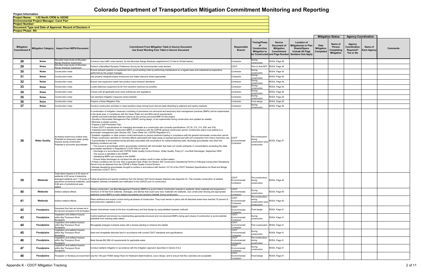**Project Phase: 4th**

**Project Number: Document Type and Date of Approval: Record of Decision 4 Environmental Project Manager: Carol Parr Project Name: I-25 North CR56 to US392**

|                   |                      |                                                                                                                                                 |                                                                                                                                                                                                                                                                                                                                                                                                                                                                                                                                                                                                                                                                                                                                                                                                                                                                                                                                                                                                                                                                                                                                                                                                                                                                                                                                                                                                                                                                                                                                                                                                                                                                                                                                                                                                                                                                                                                                                                                                                                                                                                                                                                                                                                                                                                                                                                             |                                                   |                                                                       |                                                                                                   |                                                                                                                     |                                        | <b>Mitigation Status</b>                             | <b>Agency Coordination</b>                              |                               |                 |
|-------------------|----------------------|-------------------------------------------------------------------------------------------------------------------------------------------------|-----------------------------------------------------------------------------------------------------------------------------------------------------------------------------------------------------------------------------------------------------------------------------------------------------------------------------------------------------------------------------------------------------------------------------------------------------------------------------------------------------------------------------------------------------------------------------------------------------------------------------------------------------------------------------------------------------------------------------------------------------------------------------------------------------------------------------------------------------------------------------------------------------------------------------------------------------------------------------------------------------------------------------------------------------------------------------------------------------------------------------------------------------------------------------------------------------------------------------------------------------------------------------------------------------------------------------------------------------------------------------------------------------------------------------------------------------------------------------------------------------------------------------------------------------------------------------------------------------------------------------------------------------------------------------------------------------------------------------------------------------------------------------------------------------------------------------------------------------------------------------------------------------------------------------------------------------------------------------------------------------------------------------------------------------------------------------------------------------------------------------------------------------------------------------------------------------------------------------------------------------------------------------------------------------------------------------------------------------------------------------|---------------------------------------------------|-----------------------------------------------------------------------|---------------------------------------------------------------------------------------------------|---------------------------------------------------------------------------------------------------------------------|----------------------------------------|------------------------------------------------------|---------------------------------------------------------|-------------------------------|-----------------|
| <b>Mitigation</b> |                      | Mitigation Category   Impact from NEPA Document                                                                                                 | <b>Commitment From Mitigation Table In Source Document</b><br>Use Exact Wording from Table in Source Document                                                                                                                                                                                                                                                                                                                                                                                                                                                                                                                                                                                                                                                                                                                                                                                                                                                                                                                                                                                                                                                                                                                                                                                                                                                                                                                                                                                                                                                                                                                                                                                                                                                                                                                                                                                                                                                                                                                                                                                                                                                                                                                                                                                                                                                               | Responsible<br><b>Branch</b>                      | <b>Timing/Phase</b><br>οf<br>Construction<br><b>Mitigation to</b>     | <b>Source</b><br>Document of<br><b>Mitigation</b><br>Commitment<br>be Constructed and Page Number | <b>Location of</b><br>Mitigation(s) in Plan<br><b>Sheets/Specs</b><br>Include All Page<br><b>Numbers that Apply</b> | Date<br><b>Mitigation</b><br>Completed | Name of<br>Person<br>Completing<br><b>Mitigation</b> | Agency<br>Coordination<br><b>Required?</b><br>Yes or No | Name of<br><b>Each Agency</b> | <b>Comments</b> |
| 28                | <b>Noise</b>         | Elevated noise levels at Mountain<br>Range Shadows Subdivision                                                                                  | Construct new traffic noise barriers for the Mountain Range Shadows neighborhood (12 feet to 20-feet barrier)                                                                                                                                                                                                                                                                                                                                                                                                                                                                                                                                                                                                                                                                                                                                                                                                                                                                                                                                                                                                                                                                                                                                                                                                                                                                                                                                                                                                                                                                                                                                                                                                                                                                                                                                                                                                                                                                                                                                                                                                                                                                                                                                                                                                                                                               | Contractor                                        | During<br>construction                                                | ROD4, Page 36                                                                                     |                                                                                                                     |                                        |                                                      |                                                         |                               |                 |
| 29                | Noise                | Elevated noise levels at Mountain<br>Range Shadows Subdivision                                                                                  | erform a Benefitted Receptor Preference Survey for the recommended noise barriers                                                                                                                                                                                                                                                                                                                                                                                                                                                                                                                                                                                                                                                                                                                                                                                                                                                                                                                                                                                                                                                                                                                                                                                                                                                                                                                                                                                                                                                                                                                                                                                                                                                                                                                                                                                                                                                                                                                                                                                                                                                                                                                                                                                                                                                                                           | CDOT                                              | Prior to final RFP ROD4, Page 36                                      |                                                                                                   |                                                                                                                     |                                        |                                                      |                                                         |                               |                 |
| 30                | Noise                | Construction noise                                                                                                                              | Ensure exhaust systems on equipment are in good working order by performing maintenance on a regular basis and maintenance inspections<br>performed by the project manager.                                                                                                                                                                                                                                                                                                                                                                                                                                                                                                                                                                                                                                                                                                                                                                                                                                                                                                                                                                                                                                                                                                                                                                                                                                                                                                                                                                                                                                                                                                                                                                                                                                                                                                                                                                                                                                                                                                                                                                                                                                                                                                                                                                                                 | Contractor                                        | During<br>construction                                                | ROD4, Page 36                                                                                     |                                                                                                                     |                                        |                                                      |                                                         |                               |                 |
| 31                | Noise                | Construction noise                                                                                                                              | Use properly designed engine enclosures and intake silencers where appropriate.                                                                                                                                                                                                                                                                                                                                                                                                                                                                                                                                                                                                                                                                                                                                                                                                                                                                                                                                                                                                                                                                                                                                                                                                                                                                                                                                                                                                                                                                                                                                                                                                                                                                                                                                                                                                                                                                                                                                                                                                                                                                                                                                                                                                                                                                                             | Contractor                                        | During<br>construction                                                | ROD4, Page 36                                                                                     |                                                                                                                     |                                        |                                                      |                                                         |                               |                 |
| 32                | Noise                | Construction noise                                                                                                                              | Ensure new equipment meets new product noise emission standards                                                                                                                                                                                                                                                                                                                                                                                                                                                                                                                                                                                                                                                                                                                                                                                                                                                                                                                                                                                                                                                                                                                                                                                                                                                                                                                                                                                                                                                                                                                                                                                                                                                                                                                                                                                                                                                                                                                                                                                                                                                                                                                                                                                                                                                                                                             | Contractor                                        | During<br>construction                                                | ROD4, Page 36                                                                                     |                                                                                                                     |                                        |                                                      |                                                         |                               |                 |
| 33                | Noise                | Construction noise                                                                                                                              | Locate stationary equipment as far from sensitive receivers as possible.                                                                                                                                                                                                                                                                                                                                                                                                                                                                                                                                                                                                                                                                                                                                                                                                                                                                                                                                                                                                                                                                                                                                                                                                                                                                                                                                                                                                                                                                                                                                                                                                                                                                                                                                                                                                                                                                                                                                                                                                                                                                                                                                                                                                                                                                                                    | Contractor                                        | During<br>construction                                                | ROD4, Page 36                                                                                     |                                                                                                                     |                                        |                                                      |                                                         |                               |                 |
| 34                | <b>Noise</b>         | Construction noise                                                                                                                              | Comply with all applicable local noise ordinances and regulations                                                                                                                                                                                                                                                                                                                                                                                                                                                                                                                                                                                                                                                                                                                                                                                                                                                                                                                                                                                                                                                                                                                                                                                                                                                                                                                                                                                                                                                                                                                                                                                                                                                                                                                                                                                                                                                                                                                                                                                                                                                                                                                                                                                                                                                                                                           | Contractor                                        | During<br>construction                                                | ROD4, Page 36                                                                                     |                                                                                                                     |                                        |                                                      |                                                         |                               |                 |
| 35                | <b>Noise</b>         | Construction noise                                                                                                                              | Use standard mitigation measures where feasible                                                                                                                                                                                                                                                                                                                                                                                                                                                                                                                                                                                                                                                                                                                                                                                                                                                                                                                                                                                                                                                                                                                                                                                                                                                                                                                                                                                                                                                                                                                                                                                                                                                                                                                                                                                                                                                                                                                                                                                                                                                                                                                                                                                                                                                                                                                             | Contractor                                        | During<br>construction                                                | ROD4, Page 36                                                                                     |                                                                                                                     |                                        |                                                      |                                                         |                               |                 |
| 36                | Noise                | Construction noise                                                                                                                              | Prepare a Noise Mitigation Plan                                                                                                                                                                                                                                                                                                                                                                                                                                                                                                                                                                                                                                                                                                                                                                                                                                                                                                                                                                                                                                                                                                                                                                                                                                                                                                                                                                                                                                                                                                                                                                                                                                                                                                                                                                                                                                                                                                                                                                                                                                                                                                                                                                                                                                                                                                                                             | Contractor                                        | Final design                                                          | ROD4, Page 36                                                                                     |                                                                                                                     |                                        |                                                      |                                                         |                               |                 |
| 37                | Noise                | Construction noise                                                                                                                              | Conduct construction activities in noise-sensitive areas during hours that are least disturbing to adjacent and nearby residents                                                                                                                                                                                                                                                                                                                                                                                                                                                                                                                                                                                                                                                                                                                                                                                                                                                                                                                                                                                                                                                                                                                                                                                                                                                                                                                                                                                                                                                                                                                                                                                                                                                                                                                                                                                                                                                                                                                                                                                                                                                                                                                                                                                                                                            | Contractor                                        | During<br>construction                                                | ROD4, Page 36                                                                                     |                                                                                                                     |                                        |                                                      |                                                         |                               |                 |
| 38                | <b>Water Quality</b> | Increased impervious surface area<br>Potential for temporary water quality<br>impacts during construction<br>Potential to encounter groundwater | combination of mitigation measures consisting of permanent non-structural and temporary best management practices (BMPs) will be implemented<br>h the study area, in compliance with the Clean Water Act and MS4 permit requirements.<br>Identify and build extended detention basins as the primary structural BMP for this project.<br>Develop a Stormwater Management Plan (SWMP) during design, to be implemented during construction and updated as needed.<br>Minimize in-stream activity.<br>Prepare a Spill Prevention Plan.<br>Follow CDOT's specifications for managing stormwater at a construction site (currently specifications 107.25, 212, 213, 208, and 216).<br>Implement and maintain construction BMPs in compliance with the CDPHE general construction permit. Construction plans must adhere to a<br>stormwater management plan (Section 402, Clean Water Act, CDPHE Regulation 61).<br>Establish vegetation or other erosion control techniques to prevent sediment loading in compliance with the general stormwater construction permit.<br>Phase construction activities to minimize effects associated with large areas of exposed ground and with soil compaction from heavy machinery use. CDOT<br>If groundwater is encountered during activities associated with excavations for caisson/retaining walls, discharge groundwater only when the<br>ollowing conditions are met:<br>- The source is groundwater and/or groundwater combined with stormwater that does not contain pollutants in concentrations exceeding the state<br>groundwater standards in Regulations 5 CCR 1002-41 and 42.<br>- Discharge is in accordance with CDPHE Water Quality Control Division, Water Quality, Policy-27, Low-Risk Discharges, September 2009.<br>- The source is identified in the SWMP.<br>- Dewatering BMPs are included in the SWMP.<br>- Ensure these discharges do not leave the site as surface runoff or enter surface waters.<br>If these conditions are not met, then a separate Clean Water Act Section 402 Construction Dewatering Permit or Individual Construction Dewatering<br>ermit must be obtained from the CDPHE's Water Quality Control Division.<br>Manage dewatering groundwater brought to surface in accordance with Section 107.25 of the CDOT Standard Specifications for Road and Bridge<br>Construction (CDOT, 2011). | Environmental/<br>Contractor                      | Pre-construction/<br>construction/ post-ROD4, Page 37<br>construction |                                                                                                   |                                                                                                                     |                                        |                                                      |                                                         |                               |                 |
| 39                | Wetlands             | Total direct impacts to 5.24 acres of<br>wetlands (4.05 acres of palustrine<br>0.86 acre of jurisdictional open<br>waters                       | emergent wetlands and 1.19 acres of Follow all general and special conditions from the Section 404 Permit already obtained (see Appendix D). This includes construction of wetland<br>palustrine scrub/shrub wetlands), and mitigation (already completed) and notification to the USACE prior to construction.                                                                                                                                                                                                                                                                                                                                                                                                                                                                                                                                                                                                                                                                                                                                                                                                                                                                                                                                                                                                                                                                                                                                                                                                                                                                                                                                                                                                                                                                                                                                                                                                                                                                                                                                                                                                                                                                                                                                                                                                                                                             | CDOT<br>Environmental/<br>Contractor              | Pre-construction/<br>during<br>construction                           | ROD4, Page 40                                                                                     |                                                                                                                     |                                        |                                                      |                                                         |                               |                 |
| 40                | Wetlands             | Indirect wetland effects                                                                                                                        | During construction, use Best Management Practices (BMPs) to avoid indirect construction impacts to wetlands. Store materials and equipment a<br>minimum of 50 feet from wetlands, drainages, and ditches that could carry toxic materials into wetlands. Use construction fencing and appropriate<br>sediment control BMPs to mark wetland boundaries and sensitive habitats during construction.                                                                                                                                                                                                                                                                                                                                                                                                                                                                                                                                                                                                                                                                                                                                                                                                                                                                                                                                                                                                                                                                                                                                                                                                                                                                                                                                                                                                                                                                                                                                                                                                                                                                                                                                                                                                                                                                                                                                                                          | וטשט<br>Environmental/<br>Contractor              | During<br>construction                                                | ROD4, Page 40                                                                                     |                                                                                                                     |                                        |                                                      |                                                         |                               |                 |
| 41                | Wetlands             | Indirect wetland effects                                                                                                                        | Place sediment and erosion control during all phases of construction. They must remain in place until all disturbed areas have reached 70 percent of<br>preconstruction vegetative cover.                                                                                                                                                                                                                                                                                                                                                                                                                                                                                                                                                                                                                                                                                                                                                                                                                                                                                                                                                                                                                                                                                                                                                                                                                                                                                                                                                                                                                                                                                                                                                                                                                                                                                                                                                                                                                                                                                                                                                                                                                                                                                                                                                                                   | CDOT<br>Environmental/<br>Contractor              | Pre-construction/<br>construction/ post-ROD4, Page 40<br>construction |                                                                                                   |                                                                                                                     |                                        |                                                      |                                                         |                               |                 |
| 42                | <b>Floodplains</b>   | Downstream flood risks can increase due to<br>the improved conveyance of the stormwaters                                                        | Assess downstream areas at the time of preliminary and final design by using detailed hydraulic methods.                                                                                                                                                                                                                                                                                                                                                                                                                                                                                                                                                                                                                                                                                                                                                                                                                                                                                                                                                                                                                                                                                                                                                                                                                                                                                                                                                                                                                                                                                                                                                                                                                                                                                                                                                                                                                                                                                                                                                                                                                                                                                                                                                                                                                                                                    | CDOT<br>Environmental/<br>Contractor              | Final design                                                          | ROD4, Page 41                                                                                     |                                                                                                                     |                                        |                                                      |                                                         |                               |                 |
| 43                | <b>Floodplains</b>   | Vegetation and wetland impacts<br>within Big Thompson River<br>floodplains                                                                      | Control sediment and erosion by implementing appropriate structural and non-structural BMPs during each phase of construction to avoid potential<br>pollutants from entering state waters.                                                                                                                                                                                                                                                                                                                                                                                                                                                                                                                                                                                                                                                                                                                                                                                                                                                                                                                                                                                                                                                                                                                                                                                                                                                                                                                                                                                                                                                                                                                                                                                                                                                                                                                                                                                                                                                                                                                                                                                                                                                                                                                                                                                  | CDOT<br>Environmental/<br>Contractor              | During<br>construction                                                | ROD4, Page 41                                                                                     |                                                                                                                     |                                        |                                                      |                                                         |                               |                 |
| 44                | <b>Floodplains</b>   | Vegetation and wetland impacts<br>within Big Thompson River<br>floodplains                                                                      | Revegetate enlarged overbank areas with a diverse planting to enhance the habitat                                                                                                                                                                                                                                                                                                                                                                                                                                                                                                                                                                                                                                                                                                                                                                                                                                                                                                                                                                                                                                                                                                                                                                                                                                                                                                                                                                                                                                                                                                                                                                                                                                                                                                                                                                                                                                                                                                                                                                                                                                                                                                                                                                                                                                                                                           | CDOT<br>Environmental/<br>Contractor              | Post construction ROD4, Page 41                                       |                                                                                                   |                                                                                                                     |                                        |                                                      |                                                         |                               |                 |
| 45                | <b>Floodplains</b>   | Vegetation and wetland impacts<br>within Big Thompson River<br>floodplains                                                                      | Seed and revegetate disturbed land in accordance with current CDOT standards and specifications.                                                                                                                                                                                                                                                                                                                                                                                                                                                                                                                                                                                                                                                                                                                                                                                                                                                                                                                                                                                                                                                                                                                                                                                                                                                                                                                                                                                                                                                                                                                                                                                                                                                                                                                                                                                                                                                                                                                                                                                                                                                                                                                                                                                                                                                                            | $\overline{CDOT}$<br>Environmental/<br>Contractor | During<br>construction                                                | ROD4, Page 41                                                                                     |                                                                                                                     |                                        |                                                      |                                                         |                               |                 |
| 46                | <b>Floodplains</b>   | Vegetation and wetland impacts<br>within Big Thompson River<br>floodplains                                                                      | Meet Senate Bill (SB) 40 requirements for applicable areas.                                                                                                                                                                                                                                                                                                                                                                                                                                                                                                                                                                                                                                                                                                                                                                                                                                                                                                                                                                                                                                                                                                                                                                                                                                                                                                                                                                                                                                                                                                                                                                                                                                                                                                                                                                                                                                                                                                                                                                                                                                                                                                                                                                                                                                                                                                                 | CDOT<br>Environmental/<br>Contractor              | Pre-construction/<br>during<br>construction                           | ROD4, Page 41                                                                                     |                                                                                                                     |                                        |                                                      |                                                         |                               |                 |
| 47                | <b>Floodplains</b>   | Vegetation and wetland impacts<br>within Big Thompson River<br>floodplains                                                                      | Conduct wetland mitigation in accordance with the mitigation approach described in Section 6.8.2.                                                                                                                                                                                                                                                                                                                                                                                                                                                                                                                                                                                                                                                                                                                                                                                                                                                                                                                                                                                                                                                                                                                                                                                                                                                                                                                                                                                                                                                                                                                                                                                                                                                                                                                                                                                                                                                                                                                                                                                                                                                                                                                                                                                                                                                                           | CDOT<br>Environmental/<br>Contractor              | During<br>construction                                                | ROD4, Page 41                                                                                     |                                                                                                                     |                                        |                                                      |                                                         |                               |                 |
| 48                | <b>Floodplains</b>   |                                                                                                                                                 | Floodplain or floodway encroachment Use the 100-year FEMA design flows for freeboard determinations, scour design, and to ensure that flow velocities are acceptable                                                                                                                                                                                                                                                                                                                                                                                                                                                                                                                                                                                                                                                                                                                                                                                                                                                                                                                                                                                                                                                                                                                                                                                                                                                                                                                                                                                                                                                                                                                                                                                                                                                                                                                                                                                                                                                                                                                                                                                                                                                                                                                                                                                                        | CDOT<br>Environmental/<br>Contractor              | <b>Final Design</b>                                                   | ROD4, Page 41                                                                                     |                                                                                                                     |                                        |                                                      |                                                         |                               |                 |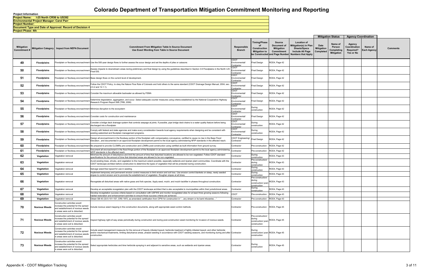**Document Type and Date of Approval: Record of Decision 4 Project Phase: 4th**

**Project Number: Environmental Project Manager: Carol Parr Project Name: I-25 North CR56 to US392**

|                                         |                      |                                                                                                                                                  |                                                                                                                                                                                                                                                                                                                                     |                                             |                                                                    |                                                                                                   |                                                                                                                            |                                        | <b>Mitigation Status</b>                             | <b>Agency Coordination</b>                              |                               |          |
|-----------------------------------------|----------------------|--------------------------------------------------------------------------------------------------------------------------------------------------|-------------------------------------------------------------------------------------------------------------------------------------------------------------------------------------------------------------------------------------------------------------------------------------------------------------------------------------|---------------------------------------------|--------------------------------------------------------------------|---------------------------------------------------------------------------------------------------|----------------------------------------------------------------------------------------------------------------------------|----------------------------------------|------------------------------------------------------|---------------------------------------------------------|-------------------------------|----------|
| <b>Mitigation</b><br><b>Commitment#</b> |                      | Mitigation Category   Impact from NEPA Document                                                                                                  | <b>Commitment From Mitigation Table In Source Document</b><br>Use Exact Wording from Table in Source Document                                                                                                                                                                                                                       | Responsible<br><b>Branch</b>                | <b>Timing/Phase</b><br>οf<br>Construction<br><b>Mitigation to</b>  | <b>Source</b><br>Document of<br><b>Mitigation</b><br>Commitment<br>be Constructed and Page Number | <b>Location of</b><br>Mitigation(s) in Plan<br><b>Sheets/Specs</b><br><b>Include All Page</b><br><b>Numbers that Apply</b> | Date<br><b>Mitigation</b><br>Completed | Name of<br>Person<br>Completing<br><b>Mitigation</b> | Agency<br>Coordination<br><b>Required?</b><br>Yes or No | Name of<br><b>Each Agency</b> | Comments |
| -49                                     | <b>Floodplains</b>   |                                                                                                                                                  | Floodplain or floodway encroachment Use the 500-year design flows to further assess the scour design and set the depths of piles or caissons                                                                                                                                                                                        | CDOT<br>Environmental/<br>Contractor        | <b>Final Design</b>                                                | ROD4, Page 42                                                                                     |                                                                                                                            |                                        |                                                      |                                                         |                               |          |
| 50                                      | <b>Floodplains</b>   | Floodplain or floodway encroachment                                                                                                              | Assess impacts to downstream areas during preliminary and final design by using the guidelines described in Section 3.9 Floodplains in the North I-25<br>Final EIS.                                                                                                                                                                 | CDOT<br>Environmental/<br>Contractor        | <b>Final Design</b>                                                | ROD4, Page 42                                                                                     |                                                                                                                            |                                        |                                                      |                                                         |                               |          |
| -51                                     | <b>Floodplains</b>   |                                                                                                                                                  | Floodplain or floodway encroachment Base design flows on the current level of development.                                                                                                                                                                                                                                          | CDOT<br>Environmental/<br>Contractor        | <b>Final Design</b>                                                | ROD4, Page 42                                                                                     |                                                                                                                            |                                        |                                                      |                                                         |                               |          |
| 52                                      | <b>Floodplains</b>   | Floodplain or floodway encroachment 2.5.2 and 12.1.1).                                                                                           | Follow the CDOT Policy, to obey the Nature Flow Rule of Colorado and hold others to the same standard (CDOT Drainage Design Manual, 2004, sec                                                                                                                                                                                       | СРОТ<br>Environmental/<br>Contractor        | <b>Final Design</b>                                                | ROD4, Page 42                                                                                     |                                                                                                                            |                                        |                                                      |                                                         |                               |          |
| 53                                      | <b>Floodplains</b>   |                                                                                                                                                  | Floodplain or floodway encroachment Consider the maximum allowable backwater as allowed by FEMA                                                                                                                                                                                                                                     | CDOT<br>Environmental/<br>Contractor        | <b>Final Design</b>                                                | ROD4, Page 42                                                                                     |                                                                                                                            |                                        |                                                      |                                                         |                               |          |
| 54                                      | <b>Floodplains</b>   |                                                                                                                                                  | Determine degradation, aggregation, and scour. Select adequate counter measures using criteria established by the National Cooperative Highway<br>Floodplain or floodway encroachment   الحديث المستعمل المستعمر المستعمر المستعمر المستعمر المستعمر المستعمر ال<br>Research Program Report 568 (TRB, 2006)                         | CDOT<br>Environmental/<br>Contractor        | <b>Final Design</b>                                                | ROD4, Page 42                                                                                     |                                                                                                                            |                                        |                                                      |                                                         |                               |          |
| 55                                      | Floodplains          |                                                                                                                                                  | Floodplain or floodway encroachment Minimize disruption to the ecosystem                                                                                                                                                                                                                                                            | CDOT<br>Environmental/<br>Contractor        | During<br>construction                                             | ROD4, Page 42                                                                                     |                                                                                                                            |                                        |                                                      |                                                         |                               |          |
| 56                                      | <b>Floodplains</b>   |                                                                                                                                                  | Floodplain or floodway encroachment Consider costs for construction and maintenance                                                                                                                                                                                                                                                 | <b>CDOT</b><br>Environmental/<br>Contractor | <b>Final Design</b>                                                | ROD4, Page 42                                                                                     |                                                                                                                            |                                        |                                                      |                                                         |                               |          |
| -57                                     | <b>Floodplains</b>   | loodplain or floodway encroachment                                                                                                               | Consider a bridge deck drainage system that controls seepage at joints. If possible, pipe bridge deck drains to a water quality feature before being<br>discharged into a floodplain                                                                                                                                                | CDOT<br>Environmental/<br>Contractor        | During<br>construction                                             | ROD4, Page 42                                                                                     |                                                                                                                            |                                        |                                                      |                                                         |                               |          |
| 58                                      | <b>Floodplains</b>   | Floodplain or floodway encroachmen                                                                                                               | Comply with federal and state agencies and make every consideration towards local agency requirements when designing and be consistent with<br>existing watershed and floodplain management programs.                                                                                                                               | CDOT<br>Environmental/<br>Contractor        | During<br>construction                                             | ROD4, Page 42                                                                                     |                                                                                                                            |                                        |                                                      |                                                         |                               |          |
| 59                                      | <b>Floodplains</b>   | Floodplain or floodway encroachmer                                                                                                               | Design all encroachment in the floodway portion of the floodplain with compensatory conveyance, certified to cause no rise in the Base Flood<br>Elevation, and documented in an approved floodplain development permit to the local agency administering NFIP standards in the affected reach.                                      | CDOT Engineering/<br>Contractor             | inal Design <sup>:</sup>                                           | ROD4, Page 42                                                                                     |                                                                                                                            |                                        |                                                      |                                                         |                               |          |
| 60                                      | <b>Floodplains</b>   |                                                                                                                                                  | -loodplain or floodway encroachment Be prepared to provide CLOMRs pre-construction and LOMRs post-construction using certified as-built information from ground survey.                                                                                                                                                             | Contractor                                  | Pre-construction                                                   | ROD4, Page 42                                                                                     |                                                                                                                            |                                        |                                                      |                                                         |                               |          |
| 61                                      | <b>Floodplains</b>   | loodplain or floodway encroachme                                                                                                                 | Document all encroachment in the flood fringe portion of the floodplain in an approved floodplain development permit to the local agency administering<br>NFIP standards in the affected reach                                                                                                                                      | ontractor                                   | Pre-construction                                                   | ROD4, Page 42                                                                                     |                                                                                                                            |                                        |                                                      |                                                         |                               |          |
| 62                                      | Vegetation           | Vegetation removal                                                                                                                               | Minimize the amount of disturbance and limit the amount of time that disturbed locations are allowed to be non-vegetated. Follow CDOT standard<br>specifications for the amount of time that disturbed areas are allowed to be non-vegetated                                                                                        | Contractor                                  | During<br>construction<br>Pre-construction/                        | ROD4, Page 43                                                                                     |                                                                                                                            |                                        |                                                      |                                                         |                               |          |
| 63                                      | Vegetation           | Vegetation removal                                                                                                                               | Avoid existing trees, shrubs, and vegetation to the maximum extent possible, especially wetlands and riparian plant communities. Coordinate with the<br>CDOT landscape architect before construction to determine the types of vegetation that will be protected during construction.                                               | Contractor                                  | during<br>construction                                             | ROD4, Page 43                                                                                     |                                                                                                                            |                                        |                                                      |                                                         |                               |          |
| 64                                      | Vegetation           | Vegetation removal                                                                                                                               | Salvage weed-free topsoil for use in seeding                                                                                                                                                                                                                                                                                        | Contractor                                  | During<br>construction                                             | ROD4, Page 43                                                                                     |                                                                                                                            |                                        |                                                      |                                                         |                               |          |
| 65                                      | Vegetation           | /egetation removal                                                                                                                               | Implement temporary and permanent erosion control measures to limit erosion and soil loss. Use erosion control blankets on steep, newly seeded<br>slopes to control erosion and to promote the establishment of vegetation. Roughen slopes at all times                                                                             | Contractor                                  | During<br>construction<br>Pre-construction/                        | ROD4, Page 43                                                                                     |                                                                                                                            |                                        |                                                      |                                                         |                               |          |
| 66                                      | Vegetation           | Vegetation removal                                                                                                                               | Revegetate all disturbed areas with native grass and forb species. Apply seed, mulch, and mulch tackifier in phases throughout construction.                                                                                                                                                                                        | Contractor                                  | during<br>construction/ post<br>construction                       | ROD4, Page 43                                                                                     |                                                                                                                            |                                        |                                                      |                                                         |                               |          |
| 67<br>v,                                | Vegetation           | Vegetation removal                                                                                                                               | Develop an acceptable revegetation plan with the CDOT landscape architect that is also acceptable to municipalities within their jurisdictional areas.                                                                                                                                                                              | Contractor                                  | During<br>construction                                             | ROD4, Page 43                                                                                     |                                                                                                                            |                                        |                                                      |                                                         |                               |          |
| 68                                      | Vegetation           | Vegetation removal                                                                                                                               | Develop revegetation success criteria based on consultation with USFWS and monitor revegetated sites for at least three growing seasons following<br>habitat restoration and enhancement activities to ensure those success criteria are achieved.                                                                                  | <b>CDOT</b>                                 | Pre-construction                                                   | ROD4, Page 43                                                                                     |                                                                                                                            |                                        |                                                      |                                                         |                               |          |
| 69                                      | Vegetation           | Vegetation removal                                                                                                                               | Obtain SB 40 (33-5-101-107, CRS 1973, as amended) certification from CPW for construction in "any stream or its bank tributaries"                                                                                                                                                                                                   | Contractor                                  | Pre-construction                                                   | ROD4, Page 43                                                                                     |                                                                                                                            |                                        |                                                      |                                                         |                               |          |
| 70                                      | <b>Noxious Weeds</b> | Construction activities would<br>increase the potential for the spread<br>and establishment of noxious weeds<br>in areas were soil is disturbed. | Include noxious weed mapping in the construction documents, along with appropriate weed control methods.                                                                                                                                                                                                                            | Contractor                                  | Pre-construction ROD4, Page 45                                     |                                                                                                   |                                                                                                                            |                                        |                                                      |                                                         |                               |          |
| 71                                      | <b>Noxious Weeds</b> | Construction activities would<br>increase the potential for the spread<br>and establishment of noxious weeds<br>in areas were soil is disturbed. | nspect highway right-of-way areas periodically during construction and during post-construction weed monitoring for invasion of noxious weeds.                                                                                                                                                                                      | Contractor                                  | Pre-construction/<br>during<br>construction/ post-<br>construction | ROD4, Page 45                                                                                     |                                                                                                                            |                                        |                                                      |                                                         |                               |          |
| 72                                      | <b>Noxious Weeds</b> | Construction activities would<br>increase the potential for the spread<br>and establishment of noxious weeds<br>in areas were soil is disturbed. | Include weed management measures for the removal of heavily infested topsoil, herbicide treatment of lightly infested topsoil, and other herbicide<br>and/or mechanical treatments, limiting disturbance areas, phased seeding in accordance with CDOT seeding seasons, and monitoring during and after Contractor<br>construction. |                                             | During<br>construction/ post-ROD4, Page 45<br>construction         |                                                                                                   |                                                                                                                            |                                        |                                                      |                                                         |                               |          |
| 73                                      | <b>Noxious Weeds</b> | Construction activities would<br>increase the potential for the spread<br>and establishment of noxious weeds<br>in areas were soil is disturbed. | Select appropriate herbicides and time herbicide spraying in and adjacent to sensitive areas, such as wetlands and riparian areas.                                                                                                                                                                                                  | Contractor                                  | During<br>construction                                             | ROD4, Page 45                                                                                     |                                                                                                                            |                                        |                                                      |                                                         |                               |          |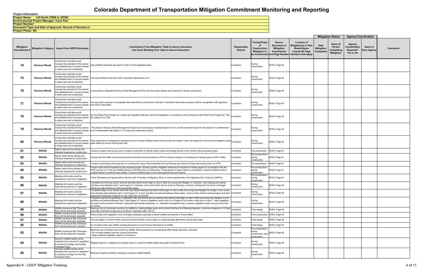**Project Phase: 4th**

**Project Number: Document Type and Date of Approval: Record of Decision 4 Environmental Project Manager: Carol Parr Project Name: I-25 North CR56 to US392**

|                                          |                      |                                                                                                                                                  |                                                                                                                                                                                                                                                                                                                                                                                                                                                                                      |                              |                                                                    |                                                                                            |                                                                                                                            |                                        | <b>Mitigation Status</b>                             | <b>Agency Coordination</b>                              |                        |                 |
|------------------------------------------|----------------------|--------------------------------------------------------------------------------------------------------------------------------------------------|--------------------------------------------------------------------------------------------------------------------------------------------------------------------------------------------------------------------------------------------------------------------------------------------------------------------------------------------------------------------------------------------------------------------------------------------------------------------------------------|------------------------------|--------------------------------------------------------------------|--------------------------------------------------------------------------------------------|----------------------------------------------------------------------------------------------------------------------------|----------------------------------------|------------------------------------------------------|---------------------------------------------------------|------------------------|-----------------|
| <b>Mitigation</b><br>Commitment <i>∤</i> |                      | Mitigation Category   Impact from NEPA Document                                                                                                  | <b>Commitment From Mitigation Table In Source Document</b><br>Use Exact Wording from Table in Source Document                                                                                                                                                                                                                                                                                                                                                                        | Responsible<br><b>Branch</b> | <b>Timing/Phase</b><br>οf<br>Construction<br><b>Mitigation to</b>  | Source<br>Document of<br><b>Mitigation</b><br>Commitment<br>be Constructed and Page Number | <b>Location of</b><br>Mitigation(s) in Plan<br><b>Sheets/Specs</b><br><b>Include All Page</b><br><b>Numbers that Apply</b> | Date<br><b>Mitigation</b><br>Completed | Name of<br>Person<br>Completing<br><b>Mitigation</b> | Agency<br>Coordination<br><b>Required?</b><br>Yes or No | Name of<br>Each Agency | <b>Comments</b> |
| 74                                       | <b>Noxious Weeds</b> | Construction activities would<br>increase the potential for the spread<br>and establishment of noxious weeds<br>in areas were soil is disturbed. | Use certified weed-free hay and/or mulch in all revegetated areas.                                                                                                                                                                                                                                                                                                                                                                                                                   | Contractor                   | During<br>construction                                             | ROD4, Page 45                                                                              |                                                                                                                            |                                        |                                                      |                                                         |                        |                 |
| 75                                       | <b>Noxious Weeds</b> | Construction activities would<br>increase the potential for the spread<br>and establishment of noxious weeds<br>in areas were soil is disturbed. | Use only fertilizers that meet CDOT Standard Specification 212.                                                                                                                                                                                                                                                                                                                                                                                                                      | Contractor                   | During<br>construction                                             | ROD4, Page 45                                                                              |                                                                                                                            |                                        |                                                      |                                                         |                        |                 |
| 76                                       | <b>Noxious Weeds</b> | Construction activities would<br>increase the potential for the spread<br>and establishment of noxious weeds<br>in areas were soil is disturbed. | ncorporate an Integrated Noxious Weed Management Plan into the project design and implement it during construction.                                                                                                                                                                                                                                                                                                                                                                  | Contractor                   | During<br>construction                                             | ROD4, Page 45                                                                              |                                                                                                                            |                                        |                                                      |                                                         |                        |                 |
| 77                                       | <b>Noxious Weeds</b> | Construction activities would<br>and establishment of noxious weeds and CDOT specialists.<br>in areas were soil is disturbed.                    | increase the potential for the spread [Use only native species to revegetate sites disturbed by construction activities. Coordinate native plant species used for revegetation with agencies                                                                                                                                                                                                                                                                                         | Contractor                   | During<br>construction                                             | ROD4, Page 45                                                                              |                                                                                                                            |                                        |                                                      |                                                         |                        |                 |
| 78                                       | <b>Noxious Weeds</b> | Construction activities would<br>and establishment of noxious weeds 35, Article 27.5, CRS.<br>in areas were soil is disturbed.                   | increase the potential for the spread Per the Weed Free Forage Act, inspect and regulate materials used for revegetation in accordance with provisions of the Weed Free Forage Act, Title Contractor                                                                                                                                                                                                                                                                                 |                              | During<br>construction                                             | ROD4, Page 45                                                                              |                                                                                                                            |                                        |                                                      |                                                         |                        |                 |
| 79                                       | <b>Noxious Weeds</b> | Construction activities would<br>in areas were soil is disturbed.                                                                                | increase the potential for the spread   The project's Noxious Weed Management Supervisor must inspect imported topsoil. Do not use the imported topsoil on the project if it is determined<br>and establishment of noxious weeds to be contaminated with weeds, or if it cannot be inspected properly                                                                                                                                                                                | Contractor                   | During<br>construction                                             | ROD4, Page 45                                                                              |                                                                                                                            |                                        |                                                      |                                                         |                        |                 |
| 80                                       | <b>Noxious Weeds</b> | Construction activities would<br>increase the potential for the spread<br>in areas were soil is disturbed.                                       | Keep equipment on designated roadways and out of weed-infested areas until the areas are treated. Clean all equipment of all soil and vegetative plant Contractor<br>and establishment of noxious weeds parts before its arrival at the project site.                                                                                                                                                                                                                                |                              | During<br>construction                                             | ROD4, Page 45                                                                              |                                                                                                                            |                                        |                                                      |                                                         |                        |                 |
| 81                                       | Wildlife             | Raptor nests will be directly and<br>indirectly impacted by construction                                                                         | Conduct a raptor nest survey prior to project construction to identify raptor nests and nesting activity in the vicinity of the proposed project.                                                                                                                                                                                                                                                                                                                                    | Contractor                   | Pre-construction                                                   | ROD4, Page 47                                                                              |                                                                                                                            |                                        |                                                      |                                                         |                        |                 |
| 82                                       | Wildlife             | Raptor nests will be directly and<br>indirectly impacted by construction                                                                         | Comply with the buffer zones and seasonal restrictions recommended by CPW to minimize impacts to breeding and nesting raptors (CPW, 2008).                                                                                                                                                                                                                                                                                                                                           | Contractor                   | re-construction/<br>during<br>construction                         | ROD4, Page 47                                                                              |                                                                                                                            |                                        |                                                      |                                                         |                        |                 |
| 83                                       | Wildlife             | Raptor nests will be directly and<br>indirectly impacted by construction.                                                                        | Conduct a burrowing owl survey prior to construction using "Recommended Survey Protocol and Action to Protect Burrowing Owls" by CPW.                                                                                                                                                                                                                                                                                                                                                | Contractor                   | Pre-construction                                                   | ROD4, Page 47                                                                              |                                                                                                                            |                                        |                                                      |                                                         |                        |                 |
| 84                                       | Wildlife             | Raptor nests will be directly and<br>indirectly impacted by construction                                                                         | raptor nests will be impacted by the proposed project, develop specific mitigation measures for impacts to nesting raptors in coordination with the<br>CPW and the U.S. Fish and Wildlife Service (USFWS) prior to construction. If disturbance of raptor nests is unavoidable, construct artificial nests in<br>uitable habitat or enhance prey habitat. Construct artificial nests in the same general area as impacts.                                                            | Contractor                   | Pre-construction/<br>during<br>construction                        | ROD4, Page 47                                                                              |                                                                                                                            |                                        |                                                      |                                                         |                        |                 |
| 85                                       | Wildlife             | Migratory bird nests could be<br>impacted by removal of vegetation                                                                               | Gollow Standards and Specifications Section 240: Protection of Migratory Birds, to meet requirements of the Migratory Bird Treaty Act (MBTA).                                                                                                                                                                                                                                                                                                                                        | Contractor                   | Pre-construction/<br>during<br>construction                        | ROD4, Page 47                                                                              |                                                                                                                            |                                        |                                                      |                                                         |                        |                 |
| 86                                       | Wildlife             | Migratory bird nests could be<br>impacted by removal of vegetation.                                                                              | Complete tree trimming and/or removal activities before birds begin to nest or after the young have fledged. In Colorado, most nesting and rearing<br>activities occur between April 1 and August 31. However, since some birds nest as early as February, conduct a nesting bird survey by a biologist<br>before any tree trimming or removal activities begin.                                                                                                                     | Contractor                   | During<br>construction                                             | ROD4, Page 48                                                                              |                                                                                                                            |                                        |                                                      |                                                         |                        |                 |
| 87                                       | Wildlife             | Migratory bird nests could be<br>impacted by removal of vegetation.                                                                              | Complete bridge or box culvert work that may disturb nesting birds before birds begin to nest or after the young have fledged. No bridge or box culvert<br>work will take place between April 1 and August 31. If work activities are planned between these dates, remove nests (before nesting begins) and take Contractor<br>ppropriate measures to assure no new nests are constructed.                                                                                           |                              | During<br>construction                                             | ROD4, Page 48                                                                              |                                                                                                                            |                                        |                                                      |                                                         |                        |                 |
| 88                                       | Wildlife             | Migratory bird nests could be<br>impacted by removal of vegetation.                                                                              | Complete clearing and grubbing of vegetation that may disturb ground nesting birds before birds begin to nest or after the young have fledged. If work<br>activities are planned between April 1 and August 31, remove vegetation and/or trim it to a height of six inches or less prior to April 1. After vegetation<br>has been removed and/or trimmed, implement appropriate measures, i.e., repeated mowing/trimming, to assure vegetation does not grow more than<br>ix inches. | Contractor                   | During<br>construction                                             | ROD4, Page 48                                                                              |                                                                                                                            |                                        |                                                      |                                                         |                        |                 |
| 89                                       | Wildlife             | Wildlife crossing at Big Thompson<br>River will be temporary impacted                                                                            | Six inches.<br>Maximize use of movement corridors by wildlife by creating bridge spans and culverts that have the following features: a minimum clearance of 10 feet Contractor<br>and width of 20 feet for deer and a minimum "openness ratio" of 0.75.                                                                                                                                                                                                                             |                              | Final design                                                       | ROD4, Page 48                                                                              |                                                                                                                            |                                        |                                                      |                                                         |                        |                 |
| 90                                       | Wildlife             | Wildlife crossing at Big Thompson<br>River will be temporary impacted                                                                            | Place shrubs and vegetative cover at bridge underpass openings to attract wildlife and provide a "funnel effect."                                                                                                                                                                                                                                                                                                                                                                    | Contractor                   | Post-construction ROD4, Page 48                                    |                                                                                            |                                                                                                                            |                                        |                                                      |                                                         |                        |                 |
| 91                                       | Wildlife             | Wildlife crossing at Big Thompson<br>River will be temporary impacted                                                                            | Provide ledges or shelves within structure that periodically convey water to create passage alternatives during high water.                                                                                                                                                                                                                                                                                                                                                          | Contractor                   | Final design                                                       | ROD4, Page 48                                                                              |                                                                                                                            |                                        |                                                      |                                                         |                        |                 |
| 92                                       | Wildlife             | Wildlife crossing at Big Thompson<br>River will be temporary impacted                                                                            | Do not place trails near wildlife crossing structures to avoid human disturbance of wildlife.                                                                                                                                                                                                                                                                                                                                                                                        | Contractor                   | Final design                                                       | ROD4, Page 48                                                                              |                                                                                                                            |                                        |                                                      |                                                         |                        |                 |
| 93                                       | Wildlife             | Wildlife crossing at Big Thompson<br>River will be temporary impacted                                                                            | Aaximize use of bridges and culverts by wildlife, where practical, by incorporating other design elements, including:<br>Do not place lighting near the crossing structures.<br>Keep roadside vegetation height to a minimum.                                                                                                                                                                                                                                                        | Contractor                   | Pre-construction/<br>during<br>construction/ post-<br>construction | ROD4, Page 48                                                                              |                                                                                                                            |                                        |                                                      |                                                         |                        |                 |
| 94                                       | Wildlife             | Sensitive wildlife habitat will be<br>impacted from removal of vegetation<br>to construct a bridge over the Big<br>Thompson River                | Aitigate impacts in wetlands and riparian areas to sensitive wildlife habitat along Big Thompson River.                                                                                                                                                                                                                                                                                                                                                                              | Contractor                   | During<br>construction                                             | ROD4, Page 48                                                                              |                                                                                                                            |                                        |                                                      |                                                         |                        |                 |
| 95                                       | Wildlife             | Sensitive wildlife habitat will be<br>impacted from removal of vegetation<br>to construct a bridge over the Big<br>Thompson River                | Minimize impacts at wildlife crossings to sensitive wildlife habitat.                                                                                                                                                                                                                                                                                                                                                                                                                | Contractor                   | During<br>construction                                             | ROD4, Page 48                                                                              |                                                                                                                            |                                        |                                                      |                                                         |                        |                 |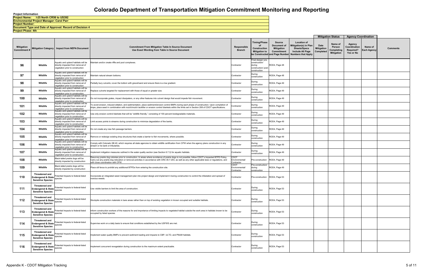**Project Phase: 4th**

**Project Number: Document Type and Date of Approval: Record of Decision 4 Environmental Project Manager: Carol Parr Project Name: I-25 North CR56 to US392**

|                            |                                                                                                 |                                                                                                              |                                                                                                                                                                                                                                                                                                                                                |                                      |                                                                                      |                                                                                                   |                                                                                                                     |                                 | <b>Mitigation Status</b>                             | <b>Agency Coordination</b>                       |                               |                 |
|----------------------------|-------------------------------------------------------------------------------------------------|--------------------------------------------------------------------------------------------------------------|------------------------------------------------------------------------------------------------------------------------------------------------------------------------------------------------------------------------------------------------------------------------------------------------------------------------------------------------|--------------------------------------|--------------------------------------------------------------------------------------|---------------------------------------------------------------------------------------------------|---------------------------------------------------------------------------------------------------------------------|---------------------------------|------------------------------------------------------|--------------------------------------------------|-------------------------------|-----------------|
| Mitigation<br>Commitment # |                                                                                                 | Mitigation Category   Impact from NEPA Document                                                              | <b>Commitment From Mitigation Table In Source Document</b><br>Use Exact Wording from Table in Source Document                                                                                                                                                                                                                                  | Responsible<br><b>Branch</b>         | <b>Timing/Phase</b><br>of<br>Construction<br><b>Mitigation to</b>                    | <b>Source</b><br>Document of<br><b>Mitigation</b><br>Commitment<br>be Constructed and Page Number | <b>Location of</b><br>Mitigation(s) in Plan<br><b>Sheets/Specs</b><br>Include All Page<br><b>Numbers that Apply</b> | Date<br>Mitigation<br>Completed | Name of<br>Person<br>Completing<br><b>Mitigation</b> | Agency<br>Coordination<br>Required?<br>Yes or No | Name of<br><b>Each Agency</b> | <b>Comments</b> |
| 96                         | Wildlife                                                                                        | Aquatic and upland habitats will be<br>directly impacted from removal of<br>vegetation prior to construction | Aaintain and/or create riffle and pool complexes.                                                                                                                                                                                                                                                                                              | Contractor                           | Final design/ pre-<br>construction/<br>during<br>construction/ post-<br>construction | ROD4, Page 48                                                                                     |                                                                                                                     |                                 |                                                      |                                                  |                               |                 |
| 97                         | Wildlife                                                                                        | Aquatic and upland habitats will be<br>directly impacted from removal of<br>vegetation prior to construction | Maintain natural stream bottoms.                                                                                                                                                                                                                                                                                                               | Contractor                           | During<br>construction                                                               | ROD4, Page 48                                                                                     |                                                                                                                     |                                 |                                                      |                                                  |                               |                 |
| 98                         | Wildlife                                                                                        | Aquatic and upland habitats will be<br>directly impacted from removal of<br>vegetation prior to construction | Partially bury culverts; cover the bottom with gravel/sand and ensure there is a low gradient.                                                                                                                                                                                                                                                 | Contractor                           | During<br>construction                                                               | ROD4, Page 49                                                                                     |                                                                                                                     |                                 |                                                      |                                                  |                               |                 |
| 99                         | Wildlife                                                                                        | Aquatic and upland habitats will be<br>directly impacted from removal of<br>vegetation prior to construction | Replace culverts targeted for replacement with those of equal or greater size.                                                                                                                                                                                                                                                                 | Contractor                           | During<br>construction                                                               | ROD4, Page 49                                                                                     |                                                                                                                     |                                 |                                                      |                                                  |                               |                 |
| 100                        | Wildlife                                                                                        | Aquatic and upland habitats will be<br>directly impacted from removal of<br>vegetation prior to construction | Do not incorporate grates, impact dissipaters, or any other features into culvert design that would impede fish movement                                                                                                                                                                                                                       | Contractor                           | During<br>construction                                                               | ROD4, Page 49                                                                                     |                                                                                                                     |                                 |                                                      |                                                  |                               |                 |
| 101                        | Wildlife                                                                                        | Aquatic and upland habitats will be<br>directly impacted from removal of<br>vegetation prior to construction | To avoid erosion, induced siltation, and sedimentation, place sediment/erosion control BMPs during each phase of construction. Upon completion of<br>slope, place seed in combination with mulch/mulch tackifier or erosion control blankets within the limits set in Section 208 of CDOT specifications.                                      | Contractor                           | During<br>construction                                                               | ROD4, Page 49                                                                                     |                                                                                                                     |                                 |                                                      |                                                  |                               |                 |
| 102                        | Wildlife                                                                                        | Aquatic and upland habitats will be<br>directly impacted from removal of<br>vegetation prior to construction | Jse only erosion control blankets that will be "wildlife friendly," consisting of 100 percent biodegradable materials.                                                                                                                                                                                                                         | Contractor                           | During<br>construction                                                               | ROD4, Page 49                                                                                     |                                                                                                                     |                                 |                                                      |                                                  |                               |                 |
| 103                        | Wildlife                                                                                        | Aquatic and upland habitats will be<br>directly impacted from removal of<br>vegetation prior to construction | imit access points to streams during construction to minimize degradation of the banks.                                                                                                                                                                                                                                                        | Contractor                           | During<br>construction                                                               | ROD4, Page 49                                                                                     |                                                                                                                     |                                 |                                                      |                                                  |                               |                 |
| 104                        | Wildlife                                                                                        | Aquatic and upland habitats will be<br>directly impacted from removal of<br>vegetation prior to construction | Do not create any new fish passage barriers.                                                                                                                                                                                                                                                                                                   | Contractor                           | During<br>construction                                                               | ROD4, Page 49                                                                                     |                                                                                                                     |                                 |                                                      |                                                  |                               |                 |
| 105                        | Wildlife                                                                                        | Aquatic and upland habitats will be<br>directly impacted from removal of<br>vegetation prior to construction | Remove or redesign existing drop structures that create a barrier to fish movements, where possible.                                                                                                                                                                                                                                           | Contractor                           | During<br>construction                                                               | ROD4, Page 49                                                                                     |                                                                                                                     |                                 |                                                      |                                                  |                               |                 |
| 106                        | Wildlife                                                                                        | Aquatic and upland habitats will be<br>directly impacted from removal of<br>vegetation prior to construction | Comply with Colorado SB 40, which requires all state agencies to obtain wildlife certification from CPW when the agency plans construction in any<br>stream or its bank or tributaries.                                                                                                                                                        | Contractor                           | During<br>construction                                                               | ROD4, Page 49                                                                                     |                                                                                                                     |                                 |                                                      |                                                  |                               |                 |
| 107                        | Wildlife                                                                                        | Aquatic and upland habitats will be<br>directly impacted from removal of<br>vegetation prior to construction | mplement mitigation measures outlined in the water quality section (see Section 6.7.3) for aquatic habitats.                                                                                                                                                                                                                                   | Contractor                           | During<br>construction                                                               | ROD4, Page 49                                                                                     |                                                                                                                     |                                 |                                                      |                                                  |                               |                 |
| 108                        | Wildlife                                                                                        | Black-tailed prairie dogs will be<br>directly impacted by construction                                       | Resurvey prairie dog colonies prior to construction. In areas where avoidance of prairie dogs is not possible, follow CDOT's Impacted BTPD Policy.<br>Carry out any prairie dog relocation or removal activities in accordance with CRS 35-7-203, as well as any other applicable laws or regulations, and<br>ith close coordination with CPW. | 2DOT<br>Environmental/<br>:ontractor | Pre-construction                                                                     | ROD4, Page 49                                                                                     |                                                                                                                     |                                 |                                                      |                                                  |                               |                 |
| 109                        | Wildlife                                                                                        | Black-tailed prairie dogs will be<br>directly impacted by construction                                       | Place silt fence to prohibit any additional BTPDs from entering the construction site.                                                                                                                                                                                                                                                         | CDOT<br>Environmental/<br>Contractor | Pre-construction/<br>during<br>construction                                          | ROD4, Page 49                                                                                     |                                                                                                                     |                                 |                                                      |                                                  |                               |                 |
| 110                        | <b>Threatened and</b><br>Endangered & State<br><b>Sensitive Species</b>                         | Potential Impacts to federal-listed<br>species                                                               | ncorporate an integrated weed management plan into project design and implement it during construction to control the infestation and spread of<br>noxious weeds.                                                                                                                                                                              | Contractor                           | Pre-construction ROD4, Page 53                                                       |                                                                                                   |                                                                                                                     |                                 |                                                      |                                                  |                               |                 |
| 111                        | Threatened and<br><b>Sensitive Species</b>                                                      | Endangered & State Potential Impacts to federal-listed<br>Sensitive Creation                                 | Use visible barriers to limit the area of construction.                                                                                                                                                                                                                                                                                        | Contractor                           | During<br>construction                                                               | ROD4, Page 53                                                                                     |                                                                                                                     |                                 |                                                      |                                                  |                               |                 |
| 112                        | <b>Threatened and</b><br>Endangered & State species<br><b>Sensitive Species</b>                 | Potential Impacts to federal-listed                                                                          | Stockpile construction materials in bare areas rather than on top of existing vegetation in known occupied and suitable habitats.                                                                                                                                                                                                              | Contractor                           | During<br>construction                                                               | ROD4, Page 53                                                                                     |                                                                                                                     |                                 |                                                      |                                                  |                               |                 |
| 113                        | Threatened and<br><b>Sensitive Species</b>                                                      | Endangered & State Potential Impacts to federal-listed<br>Sensitive Species                                  | Inform construction workers of the reasons for and importance of limiting impacts to vegetated habitat outside the work area in habitats known to be<br>occupied by listed species.                                                                                                                                                            | Contractor                           | During<br>construction                                                               | ROD4, Page 53                                                                                     |                                                                                                                     |                                 |                                                      |                                                  |                               |                 |
| 114                        | Threatened and<br>Endangered & State Fuerner<br><b>Sensitive Species</b>                        | Potential Impacts to federal-listed                                                                          | Supervise work on a daily basis to ensure that conditions established by the USFWS are met.                                                                                                                                                                                                                                                    | Contractor                           | During<br>construction                                                               | ROD4, Page 53                                                                                     |                                                                                                                     |                                 |                                                      |                                                  |                               |                 |
| 115                        | <b>Threatened and</b><br><b>Sensitive Species</b>                                               | Endangered & State Potential Impacts to federal-listed<br>Sensitive Species                                  | Implement water quality BMPs to prevent sediment loading and impacts to CBP, ULTO, and PMJM habitats.                                                                                                                                                                                                                                          | Contractor                           | During<br>construction                                                               | ROD4, Page 53                                                                                     |                                                                                                                     |                                 |                                                      |                                                  |                               |                 |
| 116                        | Threatened and<br><b>Endangered &amp; State</b>   Foterman Property<br><b>Sensitive Species</b> | Potential Impacts to federal-listed                                                                          | Implement concurrent revegetation during construction to the maximum extent practicable.                                                                                                                                                                                                                                                       | Contractor                           | During<br>construction                                                               | ROD4, Page 53                                                                                     |                                                                                                                     |                                 |                                                      |                                                  |                               |                 |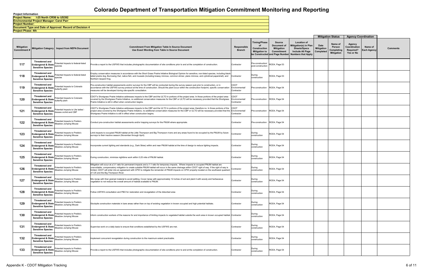**Project Number: Document Type and Date of Approval: Record of Decision 4 Project Phase: 4th Environmental Project Manager: Carol Parr Project Name: I-25 North CR56 to US392**

|                                         |                                                                                         |                                                                                                        |                                                                                                                                                                                                                                                                                                                                                                                                                                                                                                 |                                      |                                                                   |                                                                                                   |                                                                                                                            |                                        | <b>Mitigation Status</b>                             | <b>Agency Coordination</b>                       |                               |          |
|-----------------------------------------|-----------------------------------------------------------------------------------------|--------------------------------------------------------------------------------------------------------|-------------------------------------------------------------------------------------------------------------------------------------------------------------------------------------------------------------------------------------------------------------------------------------------------------------------------------------------------------------------------------------------------------------------------------------------------------------------------------------------------|--------------------------------------|-------------------------------------------------------------------|---------------------------------------------------------------------------------------------------|----------------------------------------------------------------------------------------------------------------------------|----------------------------------------|------------------------------------------------------|--------------------------------------------------|-------------------------------|----------|
| <b>Mitigation</b><br><b>Commitment#</b> | <b>Mitigation Category</b>                                                              | <b>Impact from NEPA Document</b>                                                                       | <b>Commitment From Mitigation Table In Source Document</b><br>Use Exact Wording from Table in Source Document                                                                                                                                                                                                                                                                                                                                                                                   | <b>Responsible</b><br><b>Branch</b>  | <b>Timing/Phase</b><br>of<br>Construction<br><b>Mitigation to</b> | <b>Source</b><br>Document of<br><b>Mitigation</b><br>Commitment<br>be Constructed and Page Number | <b>Location of</b><br><b>Mitigation(s) in Plan</b><br><b>Sheets/Specs</b><br>Include All Page<br><b>Numbers that Apply</b> | Date<br><b>Mitigation</b><br>Completed | Name of<br>Person<br>Completing<br><b>Mitigation</b> | Agency<br>Coordination<br>Required?<br>Yes or No | Name of<br><b>Each Agency</b> | Comments |
| 117                                     | Threatened and<br>Endangered & State species<br><b>Sensitive Species</b>                | Potential Impacts to federal-listed                                                                    | Provide a report to the USFWS that includes photographic documentation of site conditions prior to and at the completion of construction.                                                                                                                                                                                                                                                                                                                                                       | Contractor                           | Pre-construction/<br>post-construction                            | ROD4, Page 53                                                                                     |                                                                                                                            |                                        |                                                      |                                                  |                               |          |
| 118                                     | Threatened and<br><b>Endangered &amp; State</b><br><b>Sensitive Species</b>             | otential Impacts to federal-listed<br>species                                                          | Employ conservation measures in accordance with the Short Grass Prairie Initiative Biological Opinion for sensitive, non-listed species, including black<br>ailed prairie dog, Burrowing Owl, native fish, and mussels (including brassy minnow, common shiner, plans minnow, and cylindrical papershell), and<br>Northern leopard frog.                                                                                                                                                        | Contractor                           | During<br>construction                                            | ROD4, Page 53                                                                                     |                                                                                                                            |                                        |                                                      |                                                  |                               |          |
| 119                                     | <b>Threatened and</b><br>Endangered & State butterfly plant<br><b>Sensitive Species</b> | Potential Impacts to Colorado                                                                          | Pre-construction habitat assessments and/or surveys for the CBP will be conducted during the survey season just prior to construction, or in<br>accordance with the USFWS survey protocol at the time of construction. Should the plant occur within the construction footprint, specific conservation<br>measures will be developed during site-specific consultation.                                                                                                                         | CDOT<br>Environmental/<br>Contractor | Pre-construction ROD4, Page 54                                    |                                                                                                   |                                                                                                                            |                                        |                                                      |                                                  |                               |          |
| 120                                     | <b>Threatened and</b><br>Endangered & State<br><b>Sensitive Species</b>                 | Potential Impacts to Colorado<br>butterfly plant                                                       | CDOT's Shortgrass Prairie Initiative addresses impacts to the CBP and the ULTO in portions of the project area. In those portions of the project area<br>covered by the Shortgrass Prairie Initiative, no additional conservation measures for the CBP or ULTO will be necessary provided that the Shortgrass<br>Prairie Initiative is still in effect when construction begins.                                                                                                                | CDOT<br>Environmental/<br>Contractor | Pre-construction ROD4, Page 54                                    |                                                                                                   |                                                                                                                            |                                        |                                                      |                                                  |                               |          |
| 121                                     | Threatened and<br>Endangered & State<br><b>Sensitive Species</b>                        | Potential Impacts to Ute ladies'-<br>tresses orchid and CBP                                            | CDOT's Shortgrass Prairie Initiative addresses impacts to the CBP and the ULTO in portions of the project area; therefore no. In those portions of the<br>project area covered by the Shortgrass Prairie Initiative, no additional conservation measures for the CBP or ULTO will be necessary provided that the<br>Shortgrass Prairie Initiative is still in effect when construction begins.                                                                                                  | CDOT<br>Environmental/<br>Contractor | Pre-construction ROD4, Page 54                                    |                                                                                                   |                                                                                                                            |                                        |                                                      |                                                  |                               |          |
| 122                                     | Threatened and<br><b>Sensitive Species</b>                                              | Potential Impacts to Preble's<br>Endangered & State Meadow Jumping Mouse                               | Conduct pre-construction habitat assessments and/or trapping surveys for the PMJM where appropriate.                                                                                                                                                                                                                                                                                                                                                                                            | Contractor                           | Pre-construction ROD4, Page 54                                    |                                                                                                   |                                                                                                                            |                                        |                                                      |                                                  |                               |          |
| 123                                     | Threatened and<br><b>Sensitive Species</b>                                              | Potential Impacts to Preble's<br>Endangered & State   Meadow Jumping Mouse                             | imit impacts to occupied PMJM habitat at the Little Thompson and Big Thompson rivers and any areas found to be occupied by the PMJM by future<br>surveys to their inactive season (November through April).                                                                                                                                                                                                                                                                                     | Contractor                           | During<br>construction                                            | ROD4, Page 54                                                                                     |                                                                                                                            |                                        |                                                      |                                                  |                               |          |
| 124                                     | Threatened and<br><b>Sensitive Species</b>                                              | Potential Impacts to Preble's<br>Endangered & State Meadow Jumping Mouse                               | ncorporate current lighting and standards (e.g., Dark Skies) within and near PMJM habitat at the time of design to reduce lighting impacts.                                                                                                                                                                                                                                                                                                                                                     | Contractor                           | During<br>construction                                            | ROD4, Page 54                                                                                     |                                                                                                                            |                                        |                                                      |                                                  |                               |          |
| 125                                     | <b>Threatened and</b><br><b>Sensitive Species</b>                                       | Potential Impacts to Preble's<br>Endangered & State Meadow Jumping Mouse                               | During construction, minimize nighttime work within 0.25 mile of PMJM habitat.                                                                                                                                                                                                                                                                                                                                                                                                                  | Contractor                           | During<br>construction                                            | ROD4, Page 54                                                                                     |                                                                                                                            |                                        |                                                      |                                                  |                               |          |
| 126                                     | <b>Threatened and</b><br><b>Sensitive Species</b>                                       | Potential Impacts to Preble's<br>Endangered & State Meadow Jumping Mouse                               | Mitigation will occur at a 3:1 ratio for permanent impacts and a 1:1 ratio for temporary impacts. Where impacts to occupied PMJM habitat are<br>unavoidable, compensatory mitigation to create suitable PMJM habitat will occur in the same drainage within CDOT right of way. If the right of way is<br>limited, CDOT will enter into an agreement with CPW to mitigate the remainder of PMJM impacts on CPW property located on the southwest quadrant<br>of I-25 and the Big Thompson River. | Contractor                           | During<br>construction                                            | ROD4, Page 54                                                                                     |                                                                                                                            |                                        |                                                      |                                                  |                               |          |
| 127                                     | Threatened and<br><b>Sensitive Species</b>                                              | Potential Impacts to Preble's<br>Endangered & State Meadow Jumping Mouse                               | Mix riprap with finer grained material to avoid settling. Cover riprap with approximately 12 inches of soil and plant it with woody and herbaceous<br>regetation to not reduce the overall amount of habitat available to PMJM                                                                                                                                                                                                                                                                  | Contractor                           | During<br>construction                                            | ROD4, Page 54                                                                                     |                                                                                                                            |                                        |                                                      |                                                  |                               |          |
| 128                                     |                                                                                         | Threatened and<br>Endangered & State<br>Meadow Jumping Mouse                                           | Follow USFWS consultation and PBO for restoration and revegetation of the disturbed area                                                                                                                                                                                                                                                                                                                                                                                                        | Contractor                           | During<br>construction                                            | ROD4, Page 54                                                                                     |                                                                                                                            |                                        |                                                      |                                                  |                               |          |
| 129                                     | <b>Threatened and</b><br><b>Sensitive Species</b>                                       | Potential Impacts to Preble's<br>Endangered & State Meadow Jumping Mouse                               | Stockpile construction materials in bare areas rather than on top of existing vegetation in known occupied and high potential habitats.                                                                                                                                                                                                                                                                                                                                                         | Contractor                           | During<br>construction                                            | ROD4, Page 54                                                                                     |                                                                                                                            |                                        |                                                      |                                                  |                               |          |
| 130                                     | <b>Threatened and</b><br><b>Sensitive Species</b>                                       | Potential Impacts to Preble's<br>Endangered & State   Meadow Jumping Mouse                             | nform construction workers of the reasons for and importance of limiting impacts to vegetated habitat outside the work area in known occupied habitat. Contractor                                                                                                                                                                                                                                                                                                                               |                                      | During<br>construction                                            | ROD4, Page 54                                                                                     |                                                                                                                            |                                        |                                                      |                                                  |                               |          |
| 131                                     | Threatened and<br><b>Sensitive Species</b>                                              | Endangered & State   Potential Impacts to Preble's                                                     | Supervise work on a daily basis to ensure that conditions established by the USFWS are met.                                                                                                                                                                                                                                                                                                                                                                                                     | Contractor                           | During<br>construction                                            | ROD4, Page 54                                                                                     |                                                                                                                            |                                        |                                                      |                                                  |                               |          |
| 132                                     | <b>Threatened and</b><br><b>Sensitive Species</b>                                       | Potential Impacts to Preble's<br>Endangered & State Meadow Jumping Mouse                               | mplement concurrent revegetation during construction to the maximum extent practicable.                                                                                                                                                                                                                                                                                                                                                                                                         | Contractor                           | During<br>construction                                            | ROD4, Page 54                                                                                     |                                                                                                                            |                                        |                                                      |                                                  |                               |          |
| 133                                     | <b>Threatened and</b><br><b>Sensitive Species</b>                                       | Endangered & State Potential Impacts to Preble's<br><b>Endangered &amp; State</b> Meadow Jumping Mouse | Provide a report to the USFWS that includes photographic documentation of site conditions prior to and at the completion of construction.                                                                                                                                                                                                                                                                                                                                                       | Contractor                           | During<br>construction                                            | ROD4, Page 54                                                                                     |                                                                                                                            |                                        |                                                      |                                                  |                               |          |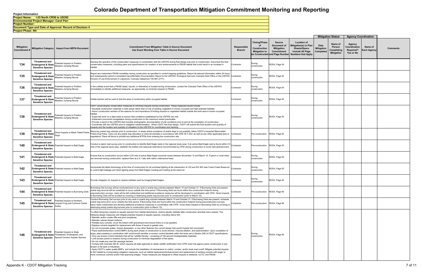|                          |                                                                                    |                                                                                                              |                                 | <b>Mitigation Status</b>                      | <b>Agency Coordination</b>                       |                               |                 |
|--------------------------|------------------------------------------------------------------------------------|--------------------------------------------------------------------------------------------------------------|---------------------------------|-----------------------------------------------|--------------------------------------------------|-------------------------------|-----------------|
| Phase<br>ıction<br>on to | Source<br>Document of<br><b>Mitigation</b><br>Commitment<br>ructed and Page Number | <b>Location of</b><br>Mitigation(s) in Plan<br>Sheets/Specs<br>Include All Page<br><b>Numbers that Apply</b> | Date<br>Mitigation<br>Completed | Name of<br>Person<br>Completing<br>Mitigation | Agency<br>Coordination<br>Required?<br>Yes or No | Name of<br><b>Each Agency</b> | <b>Comments</b> |
| эn                       | ROD4, Page 54                                                                      |                                                                                                              |                                 |                                               |                                                  |                               |                 |
| эn                       | ROD4, Page 54                                                                      |                                                                                                              |                                 |                                               |                                                  |                               |                 |
| эn                       | ROD4, Page 54                                                                      |                                                                                                              |                                 |                                               |                                                  |                               |                 |
| эn                       | ROD4, Page 55                                                                      |                                                                                                              |                                 |                                               |                                                  |                               |                 |
| эn                       | ROD4, Page 55                                                                      |                                                                                                              |                                 |                                               |                                                  |                               |                 |
| uction                   | ROD4, Page 55                                                                      |                                                                                                              |                                 |                                               |                                                  |                               |                 |
| uction                   | ROD4, Page 55                                                                      |                                                                                                              |                                 |                                               |                                                  |                               |                 |
| эn                       | ROD4, Page 55                                                                      |                                                                                                              |                                 |                                               |                                                  |                               |                 |
| эn                       | ROD4, Page 55                                                                      |                                                                                                              |                                 |                                               |                                                  |                               |                 |
| эn                       | ROD4, Page 55                                                                      |                                                                                                              |                                 |                                               |                                                  |                               |                 |
| uction                   | ROD4, Page 56                                                                      |                                                                                                              |                                 |                                               |                                                  |                               |                 |
| uction                   | ROD4, Page 56                                                                      |                                                                                                              |                                 |                                               |                                                  |                               |                 |
| эn                       | ROD4, Page 56                                                                      |                                                                                                              |                                 |                                               |                                                  |                               |                 |

**Project Phase: 4th**

**Project Number: Document Type and Date of Approval: Record of Decision 4 Environmental Project Manager: Carol Parr Project Name: I-25 North CR56 to US392**

| <b>Mitigation</b><br>Commitment # | <b>Mitigation Category</b>                                                         | <b>Impact from NEPA Document</b>                                                             | <b>Commitment From Mitigation Table In Source Document</b><br>Use Exact Wording from Table in Source Document                                                                                                                                                                                                                                                                                                                                                                                                                                                                                                                                                                                                                                                                                                                                                                                                                                                                                                                                                                                                                                                                                                                                                                                                                                                                                                                                                                                                                                                                                                                                                                                                                                                                                                                                                                                             | Responsible<br><b>Branch</b> | <b>Timing/Phase</b><br>of<br>Construction<br><b>Mitigation to</b> | <b>Source</b><br>Document of<br><b>Mitigation</b><br><b>Commitment</b><br>be Constructed and Page Number | <b>Location of</b><br>Mitigation(s) in Plan<br><b>Sheets/Specs</b><br>Include All Page<br><b>Numbers that Apply</b> |
|-----------------------------------|------------------------------------------------------------------------------------|----------------------------------------------------------------------------------------------|-----------------------------------------------------------------------------------------------------------------------------------------------------------------------------------------------------------------------------------------------------------------------------------------------------------------------------------------------------------------------------------------------------------------------------------------------------------------------------------------------------------------------------------------------------------------------------------------------------------------------------------------------------------------------------------------------------------------------------------------------------------------------------------------------------------------------------------------------------------------------------------------------------------------------------------------------------------------------------------------------------------------------------------------------------------------------------------------------------------------------------------------------------------------------------------------------------------------------------------------------------------------------------------------------------------------------------------------------------------------------------------------------------------------------------------------------------------------------------------------------------------------------------------------------------------------------------------------------------------------------------------------------------------------------------------------------------------------------------------------------------------------------------------------------------------------------------------------------------------------------------------------------------------|------------------------------|-------------------------------------------------------------------|----------------------------------------------------------------------------------------------------------|---------------------------------------------------------------------------------------------------------------------|
| 134                               | <b>Threatened and</b><br><b>Endangered &amp; State</b><br><b>Sensitive Species</b> | Potential Impacts to Preble's<br>Meadow Jumping Mouse                                        | Develop the specifics of the conservation measures in coordination with the USFWS during final design and prior to construction. Document the final<br>conservation measures, including plans and specifications for creation of and enhancements to PMJM habitat that could result in an increase in<br>habitat.                                                                                                                                                                                                                                                                                                                                                                                                                                                                                                                                                                                                                                                                                                                                                                                                                                                                                                                                                                                                                                                                                                                                                                                                                                                                                                                                                                                                                                                                                                                                                                                         | Contractor                   | During<br>construction                                            | ROD4, Page 54                                                                                            |                                                                                                                     |
| 135                               | <b>Threatened and</b><br><b>Endangered &amp; State</b><br><b>Sensitive Species</b> | Potential Impacts to Preble's<br>Meadow Jumping Mouse                                        | Report any inadvertent PMJM mortalities during construction as specified in current trapping guidelines. Report all relevant information within 24 hours<br>and subsequently submit a completed Injury/Mortality Documentation Report to the USFWS, Ecological Services Colorado Field Office or the USFWS Contractor<br>Division of Law Enforcement in Lakewood, Colorado (telephone 720-981-2777).                                                                                                                                                                                                                                                                                                                                                                                                                                                                                                                                                                                                                                                                                                                                                                                                                                                                                                                                                                                                                                                                                                                                                                                                                                                                                                                                                                                                                                                                                                      |                              | During<br>construction                                            | ROD4, Page 54                                                                                            |                                                                                                                     |
| 136                               | <b>Threatened and</b><br><b>Endangered &amp; State</b><br><b>Sensitive Species</b> | Potential Impacts to Preble's<br>Meadow Jumping Mouse                                        | In the unlikely event that a PMJM (dead, injured, or otherwise) is located during construction, contact the Colorado Field Office of the USFWS<br>immediately to identify additional measures, as appropriate, to minimize impacts to PMJM.                                                                                                                                                                                                                                                                                                                                                                                                                                                                                                                                                                                                                                                                                                                                                                                                                                                                                                                                                                                                                                                                                                                                                                                                                                                                                                                                                                                                                                                                                                                                                                                                                                                               | Contractor                   | During<br>construction                                            | ROD4, Page 54                                                                                            |                                                                                                                     |
| 137                               | <b>Threatened and</b><br><b>Endangered &amp; State</b><br><b>Sensitive Species</b> | Potential Impacts to Preble's<br>Meadow Jumping Mouse                                        | Visible barriers will be used to limit the area of construction within occupied habitat.                                                                                                                                                                                                                                                                                                                                                                                                                                                                                                                                                                                                                                                                                                                                                                                                                                                                                                                                                                                                                                                                                                                                                                                                                                                                                                                                                                                                                                                                                                                                                                                                                                                                                                                                                                                                                  | Contractor                   | During<br>construction                                            | ROD4, Page 55                                                                                            |                                                                                                                     |
| 138                               | <b>Threatened and</b><br><b>Endangered &amp; State</b><br><b>Sensitive Species</b> | Potential Impacts to Preble's<br>Meadow Jumping Mouse                                        | CDOT would employ conservation measures to minimize impacts during construction. These measures would include:<br>Stockpile construction materials in bare areas rather than on top of existing vegetation in known occupied and high potential habitats.<br>Inform construction workers of the reasons for and importance of limiting impacts to vegetated habitat outside the work area in known occupied<br>habitat.<br>Supervise work on a daily basis to ensure that conditions established by the USFWS are met.<br>Implement concurrent revegetation during construction to the maximum extent practicable.<br>Provide a report to the USFWS that includes photographic documentation of site conditions prior to and at the completion of construction.<br>Coordinate with the USFWS prior to mitigation implementation. When CDOT has final design, CDOT will submit the final location and quantity of<br>mpacts and the location and quantity of mitigation to the USFWS for coordination and tracking.                                                                                                                                                                                                                                                                                                                                                                                                                                                                                                                                                                                                                                                                                                                                                                                                                                                                                        | Contractor                   | During<br>construction                                            | ROD4, Page 55                                                                                            |                                                                                                                     |
| 139                               | <b>Threatened and</b><br><b>Endangered &amp; State</b><br><b>Sensitive Species</b> | Direct impacts to Black-Tailed Prairie<br>Dogs                                               | Resurvey prairie dog colonies prior to construction. In areas where avoidance of prairie dogs is not possible, follow CDOT's Impacted Black-tailed<br>Prairie Dog Policy. Carry out any prairie dog relocation or removal activities in accordance with CRS 35-7-203, as well as any other applicable laws or<br>regulations. Place silt fence to prohibit any additional BTPDs from entering the construction site.                                                                                                                                                                                                                                                                                                                                                                                                                                                                                                                                                                                                                                                                                                                                                                                                                                                                                                                                                                                                                                                                                                                                                                                                                                                                                                                                                                                                                                                                                      | Contractor                   | Pre-construction                                                  | ROD4, Page 55                                                                                            |                                                                                                                     |
| 140                               | <b>Threatened and</b><br><b>Sensitive Species</b>                                  | <b>Endangered &amp; State Potential Impacts to Bald Eagle</b>                                | Conduct a raptor nest survey prior to construction to identify Bald Eagle nests in the regional study area. If an active Bald Eagle nest is found within 0.5<br>mile of the regional study area, establish the buffers and seasonal restrictions recommended by CPW during construction to avoid nest abandonment                                                                                                                                                                                                                                                                                                                                                                                                                                                                                                                                                                                                                                                                                                                                                                                                                                                                                                                                                                                                                                                                                                                                                                                                                                                                                                                                                                                                                                                                                                                                                                                         | Contractor                   | Pre-construction                                                  | ROD4, Page 55                                                                                            |                                                                                                                     |
| 141                               | <b>Threatened and</b><br><b>Sensitive Species</b>                                  | Endangered & State Potential Impacts to Bald Eagle                                           | Ensure that no construction occurs within 0.25 mile of active Bald Eagle nocturnal roosts between November 15 and March 15. If perch or roost trees<br>are removed during construction, replace them at a 2:1 ratio with native cottonwood trees.                                                                                                                                                                                                                                                                                                                                                                                                                                                                                                                                                                                                                                                                                                                                                                                                                                                                                                                                                                                                                                                                                                                                                                                                                                                                                                                                                                                                                                                                                                                                                                                                                                                         | Contractor                   | During<br>construction                                            | ROD4, Page 55                                                                                            |                                                                                                                     |
| 142                               | <b>Threatened and</b><br><b>Sensitive Species</b>                                  | <b>Endangered &amp; State Potential Impacts to Bald Eagle</b>                                | Incorporate the latest technology at the time of construction for all overhead lighting at the intersection of I-25 and SH 392 near Fossil Creek Reservoir<br>to control light leakage and direct lighting away from Bald Eagles roosting and nesting at the reservoir.                                                                                                                                                                                                                                                                                                                                                                                                                                                                                                                                                                                                                                                                                                                                                                                                                                                                                                                                                                                                                                                                                                                                                                                                                                                                                                                                                                                                                                                                                                                                                                                                                                   | Contractor                   | During<br>construction                                            | ROD4, Page 55                                                                                            |                                                                                                                     |
| 143                               | <b>Threatened and</b><br><b>Sensitive Species</b>                                  | <b>Endangered &amp; State Potential Impacts to Bald Eagle</b>                                | Provide mitigation for impacts to riparian habitats used by foraging Bald Eagles.                                                                                                                                                                                                                                                                                                                                                                                                                                                                                                                                                                                                                                                                                                                                                                                                                                                                                                                                                                                                                                                                                                                                                                                                                                                                                                                                                                                                                                                                                                                                                                                                                                                                                                                                                                                                                         | Contractor                   | During<br>construction                                            | ROD4, Page 55                                                                                            |                                                                                                                     |
| 144                               | <b>Threatened and</b><br><b>Sensitive Species</b>                                  | Endangered & State   Potential Impacts to Burrowing Owls                                     | Burrowing Owl surveys will be conducted prior to any work in prairie dog colonies between March 15 and October 31. If Burrowing Owls are present,<br>prairie dog removal will be scheduled to occur outside this time period. If Burrowing Owls are found within the construction footprint during<br>preconstruction surveys, nests will be left undisturbed and additional avoidance measures will be developed in coordination with CPW. Direct impacts<br>to Burrowing Owls will be avoided by covering or destroying prairie dog burrows prior to construction (prior to March 15).                                                                                                                                                                                                                                                                                                                                                                                                                                                                                                                                                                                                                                                                                                                                                                                                                                                                                                                                                                                                                                                                                                                                                                                                                                                                                                                  | Contractor                   | Pre-construction                                                  | ROD4, Page 56                                                                                            |                                                                                                                     |
| 145                               | Threatened and<br><b>Sensitive Species</b>                                         | Potential Impacts to Northern<br>Endangered & State Leopard Frog and Common Garter<br>Snake  | Conduct Burrowing Owl surveys prior to any work in prairie dog colonies between March 15 and October 31. If Burrowing Owls are present, schedule<br>prairie dog removal to occur outside this time period. If Burrowing Owls are found within the construction footprint during preconstruction surveys,<br>leave nests undisturbed and develop additional avoidance measures in coordination with CPW. Avoid direct impacts to Burrowing Owls by covering or<br>destroying empty prairie dog burrows prior to construction (prior to March 15).                                                                                                                                                                                                                                                                                                                                                                                                                                                                                                                                                                                                                                                                                                                                                                                                                                                                                                                                                                                                                                                                                                                                                                                                                                                                                                                                                          | Contractor                   | Pre-construction                                                  | ROD4, Page 56                                                                                            |                                                                                                                     |
| 146                               | <b>Threatened and</b><br><b>Endangered &amp; State</b><br><b>Sensitive Species</b> | Potential Impacts to State<br>Threatened, Endangered, and<br>Special Concern Aquatic Species | To offset temporary impacts to aquatic species from habitat disturbance, restore aquatic habitats after construction activities have ceased. The<br>following design measures will mitigate potential impacts to aquatic species, including native fish:<br>Maintain and/or create riffle and pool complexes.<br>· Maintain natural stream bottoms.<br>Partially bury culverts; cover the bottom with gravel/sand and ensure there is a low gradient.<br>Replace culverts targeted for replacement with those of equal or greater size.<br>· Do not incorporate grates, impact dissipaters, or any other features into culvert design that would impede fish movement.<br>Place sediment/erosion control BMPs during each phase of construction to avoid erosion, induced siltation, and sedimentation. Upon completion of<br>slope, place seeding in combination with mulch/mulch tackifier or erosion control blankets within the limits set in Section 208 of CDOT specifications.<br>Only use erosion control blankets that will be "wildlife friendly," consisting of 100 percent biodegradable materials.<br>. Limit access points to streams during construction to minimize degradation of the banks.<br>Do not create any new fish passage barriers.<br>Comply with Colorado SB 40, which requires all state agencies to obtain wildlife certification from CPW when the agency plans construction in any<br>stream or its bank or tributaries.<br>Apply CDOT's water quality BMPs, and include the installation of mechanisms to collect, contain, and/or treat road runoff. Mitigate potential impacts<br>to fish habitat by incorporating mitigation measures, such as habitat replacement/enhancement and replacement of existing culverts with larger or<br>more numerous culverts and/or free-spanning bridges. These measures are designed to offset impacts to wetlands, ULTO, and PMJM. | Contractor                   | During<br>construction                                            | ROD4, Page 56                                                                                            |                                                                                                                     |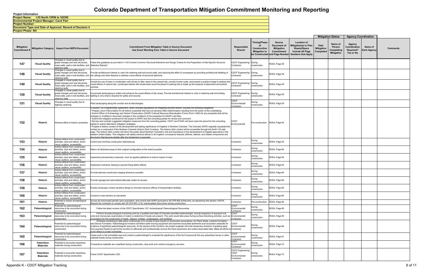|         |                                        | <b>Mitigation Status</b>                             | <b>Agency Coordination</b>                       |                        |                 |
|---------|----------------------------------------|------------------------------------------------------|--------------------------------------------------|------------------------|-----------------|
| n<br>ly | <b>Date</b><br>Mitigation<br>Completed | Name of<br>Person<br>Completing<br><b>Mitigation</b> | Agency<br>Coordination<br>Required?<br>Yes or No | Name of<br>Each Agency | <b>Comments</b> |
|         |                                        |                                                      |                                                  |                        |                 |
|         |                                        |                                                      |                                                  |                        |                 |
|         |                                        |                                                      |                                                  |                        |                 |
|         |                                        |                                                      |                                                  |                        |                 |
|         |                                        |                                                      |                                                  |                        |                 |
|         |                                        |                                                      |                                                  |                        |                 |
|         |                                        |                                                      |                                                  |                        |                 |
|         |                                        |                                                      |                                                  |                        |                 |
|         |                                        |                                                      |                                                  |                        |                 |
|         |                                        |                                                      |                                                  |                        |                 |
|         |                                        |                                                      |                                                  |                        |                 |
|         |                                        |                                                      |                                                  |                        |                 |
|         |                                        |                                                      |                                                  |                        |                 |
|         |                                        |                                                      |                                                  |                        |                 |
|         |                                        |                                                      |                                                  |                        |                 |
|         |                                        |                                                      |                                                  |                        |                 |
|         |                                        |                                                      |                                                  |                        |                 |
|         |                                        |                                                      |                                                  |                        |                 |
|         |                                        |                                                      |                                                  |                        |                 |
|         |                                        |                                                      |                                                  |                        |                 |
|         |                                        |                                                      |                                                  |                        |                 |
|         |                                        |                                                      |                                                  |                        |                 |
|         |                                        |                                                      |                                                  |                        |                 |

**Project Phase: 4th**

**Project Number: Document Type and Date of Approval: Record of Decision 4 Environmental Project Manager: Carol Parr Project Name: I-25 North CR56 to US392**

| <b>Mitigation</b><br><b>Commitment</b> # |                               | Mitigation Category   Impact from NEPA Document                                                                                     | <b>Commitment From Mitigation Table In Source Document</b><br>Use Exact Wording from Table in Source Document                                                                                                                                                                                                                                                                                                                                                                                                                                                                                                                                                                                                                                                                                                                                                                                                                                                                                                                                                                                                                                                                                                                                                                                                                                                                                                                                                                                                                                                                     | Responsible<br><b>Branch</b>                              | <b>Timing/Phase</b><br>of<br><b>Construction</b><br><b>Mitigation to</b> | <b>Source</b><br>Document of<br><b>Mitigation</b><br>Commitment<br>be Constructed and Page Number | <b>Location of</b><br>Mitigation(s) in Plan<br><b>Sheets/Specs</b><br>Include All Page<br><b>Numbers that Apply</b> |
|------------------------------------------|-------------------------------|-------------------------------------------------------------------------------------------------------------------------------------|-----------------------------------------------------------------------------------------------------------------------------------------------------------------------------------------------------------------------------------------------------------------------------------------------------------------------------------------------------------------------------------------------------------------------------------------------------------------------------------------------------------------------------------------------------------------------------------------------------------------------------------------------------------------------------------------------------------------------------------------------------------------------------------------------------------------------------------------------------------------------------------------------------------------------------------------------------------------------------------------------------------------------------------------------------------------------------------------------------------------------------------------------------------------------------------------------------------------------------------------------------------------------------------------------------------------------------------------------------------------------------------------------------------------------------------------------------------------------------------------------------------------------------------------------------------------------------------|-----------------------------------------------------------|--------------------------------------------------------------------------|---------------------------------------------------------------------------------------------------|---------------------------------------------------------------------------------------------------------------------|
| 147                                      | <b>Visual Quality</b>         | Changes in visual quality due to<br>grade changes and new structures,<br>noise walls, park-n-ride facilities, and<br>etaining walls | Follow the guidelines as provided in "I-25 Corridor Common Structural Elements and Design Criteria for the Preparation of Site-Specific Structure<br>Selection Reports."                                                                                                                                                                                                                                                                                                                                                                                                                                                                                                                                                                                                                                                                                                                                                                                                                                                                                                                                                                                                                                                                                                                                                                                                                                                                                                                                                                                                          | CDOT Engineering/<br>Contractor                           | During<br>construction                                                   | ROD4, Page 58                                                                                     |                                                                                                                     |
| 148                                      | <b>Visual Quality</b>         | Changes in visual quality due to<br>grade changes and new structures,<br>noise walls, park-n-ride facilities, and<br>etaining walls | Provide architectural interest or color into retaining wall and sound walls, and reducing the effect of overpasses by providing architectural detailing of<br>the railings and other features to address visual effects of structural elements.                                                                                                                                                                                                                                                                                                                                                                                                                                                                                                                                                                                                                                                                                                                                                                                                                                                                                                                                                                                                                                                                                                                                                                                                                                                                                                                                   | CDOT Engineering/<br>Contractor                           | During<br>construction                                                   | ROD4, Page 58                                                                                     |                                                                                                                     |
| 149                                      | <b>Visual Quality</b>         | Changes in visual quality due to<br>grade changes and new structures,<br>noise walls, park-n-ride facilities, and<br>etaining walls | nclude the use of trees in combination with shrubs to filter views to the carpool lots, provide human scale, and present a positive image to address the<br>isual effects of carpool lots. Landscape islands with shade trees would be placed in parking lots to break up the expanse of placement and parked<br>rehicles.                                                                                                                                                                                                                                                                                                                                                                                                                                                                                                                                                                                                                                                                                                                                                                                                                                                                                                                                                                                                                                                                                                                                                                                                                                                        | CDOT Engineering/<br>Contractor                           | During<br>construction                                                   | ROD4, Page 58                                                                                     |                                                                                                                     |
| 150                                      | <b>Visual Quality</b>         | Changes in visual quality due to<br>grade changes and new structures,<br>noise walls, park-n-ride facilities, and<br>etaining walls | ncorporate landscaping to soften and enhance the visual effects of slip ramps. Provide architectural interest or color in retaining wall and limiting<br>lighting to only what is required for safety and security.                                                                                                                                                                                                                                                                                                                                                                                                                                                                                                                                                                                                                                                                                                                                                                                                                                                                                                                                                                                                                                                                                                                                                                                                                                                                                                                                                               | CDOT Engineering/<br>Contractor                           | During<br>construction                                                   | ROD4, Page 58                                                                                     |                                                                                                                     |
| 151                                      | <b>Visual Quality</b>         | Changes in visual quality due to<br>ighway widening                                                                                 | Plant landscaping along the corridor and at interchanges.                                                                                                                                                                                                                                                                                                                                                                                                                                                                                                                                                                                                                                                                                                                                                                                                                                                                                                                                                                                                                                                                                                                                                                                                                                                                                                                                                                                                                                                                                                                         | <b>CDOT</b><br>Environmental/<br>Contractor               | During<br>construction                                                   | ROD4, Page 58                                                                                     |                                                                                                                     |
| 152                                      | Historic                      | Adverse effect to historic properties                                                                                               | N Section 106 Programmatic Agreement, which includes stipulations for mitigating adverse effects, includes the following mitigations:<br>Prepare Level II Recordation for all historic properties that have an adverse effect determination resulting from the action of this undertaking.<br>· Submit Office of Archaeology and Historic Preservation (OAHP) Cultural Resource Reevaluation Forms (Form 1405) for any properties that will be<br>changed or modified to document changes in the conditions of the properties for OAHP's site files.<br>Submit the mitigation produced for the project to SHPO and the consulting parties for review and comment.<br>Review and consider suggested mitigation measures from the consulting parties. CDOT and FHWA will leave open the period for the consulting<br>parties to submit alternative mitigation strategies.<br>Prepare a historic context of the development and lasting significance of irrigation in Northern Colorado. The Colorado SHPO originally requested the<br>context as a component of the Northern Colorado Historic Ditch Inventory. The historic ditch context will be accessible through the North I-25 web<br>page. The historic ditch context will inform the public about Northern Colorado's role and importance in the development of irrigated agriculture in the<br>western United States. This mitigation will satisfy adverse effects to all irrigation conveyance features (ditches, laterals, and related components and<br>tructures) that become eligible after the Agreement is executed | <b>CDOT</b><br>Environmental                              | Pre-construction                                                         | ROD4, Page 65                                                                                     |                                                                                                                     |
| 153                                      | <b>Historic</b>               | Indirect effects from construction<br>activities, dust and debris, and/or<br>visual, auditory, accessibility                        | Control and minimize construction disturbances.                                                                                                                                                                                                                                                                                                                                                                                                                                                                                                                                                                                                                                                                                                                                                                                                                                                                                                                                                                                                                                                                                                                                                                                                                                                                                                                                                                                                                                                                                                                                   | Contractor                                                | During<br>construction                                                   | ROD4, Page 65                                                                                     |                                                                                                                     |
| 154                                      | <b>Historic</b>               | Indirect effects from construction<br>activities, dust and debris, and/or<br>visual, auditory, accessibility                        | Return all disturbed areas to their original configuration to the extent possible.                                                                                                                                                                                                                                                                                                                                                                                                                                                                                                                                                                                                                                                                                                                                                                                                                                                                                                                                                                                                                                                                                                                                                                                                                                                                                                                                                                                                                                                                                                | Contractor                                                | During<br>construction                                                   | ROD4, Page 65                                                                                     |                                                                                                                     |
| 155                                      | <b>Historic</b>               | Indirect effects from construction<br>activities, dust and debris, and/or<br>visual, auditory, accessibility                        | mplement precautionary measures, such as applied palliatives to reduce impact of dust.                                                                                                                                                                                                                                                                                                                                                                                                                                                                                                                                                                                                                                                                                                                                                                                                                                                                                                                                                                                                                                                                                                                                                                                                                                                                                                                                                                                                                                                                                            | Contractor                                                | During<br>construction                                                   | ROD4, Page 65                                                                                     |                                                                                                                     |
| 156                                      | Historic                      | Indirect effects from construction<br>activities, dust and debris, and/or<br>isual, auditory, accessibility                         | mplement contractor training to prevent flying debris effects.                                                                                                                                                                                                                                                                                                                                                                                                                                                                                                                                                                                                                                                                                                                                                                                                                                                                                                                                                                                                                                                                                                                                                                                                                                                                                                                                                                                                                                                                                                                    | Contractor                                                | During<br>construction                                                   | ROD4, Page 65                                                                                     |                                                                                                                     |
| 157                                      | Historic                      | Indirect effects from construction<br>activities, dust and debris, and/or<br>visual, auditory, accessibility                        | Provide planned construction staging whenever possible.                                                                                                                                                                                                                                                                                                                                                                                                                                                                                                                                                                                                                                                                                                                                                                                                                                                                                                                                                                                                                                                                                                                                                                                                                                                                                                                                                                                                                                                                                                                           | Contractor                                                | During<br>construction                                                   | ROD4, Page 66                                                                                     |                                                                                                                     |
| 158                                      | <b>Historic</b>               | Indirect effects from construction<br>activities, dust and debris, and/or<br>isual, auditory, accessibility                         | Provide signage and well-marked alternate routes for access.                                                                                                                                                                                                                                                                                                                                                                                                                                                                                                                                                                                                                                                                                                                                                                                                                                                                                                                                                                                                                                                                                                                                                                                                                                                                                                                                                                                                                                                                                                                      | Contractor                                                | During<br>construction                                                   | ROD4, Page 66                                                                                     |                                                                                                                     |
| 159                                      | Historic                      | Indirect effects from construction<br>activities, dust and debris, and/or<br>isual, auditory, accessibility                         | Employ landscape context sensitive design to minimize intrusive effects of transportation facilities.                                                                                                                                                                                                                                                                                                                                                                                                                                                                                                                                                                                                                                                                                                                                                                                                                                                                                                                                                                                                                                                                                                                                                                                                                                                                                                                                                                                                                                                                             | Contractor                                                | During<br>construction                                                   | ROD4, Page 66                                                                                     |                                                                                                                     |
| 160                                      | Historic                      | Indirect effects from construction<br>activities, dust and debris, and/or<br>visual, auditory, accessibility                        | Construct noise barriers as warranted.                                                                                                                                                                                                                                                                                                                                                                                                                                                                                                                                                                                                                                                                                                                                                                                                                                                                                                                                                                                                                                                                                                                                                                                                                                                                                                                                                                                                                                                                                                                                            | Contractor                                                | During<br>constructior                                                   | ROD4, Page 66                                                                                     |                                                                                                                     |
| 161                                      | <b>Historic</b>               | Potential to impact archaeological<br>esources                                                                                      | Survey all unsurveyed parcels upon acquisition, and consult with SHPO pursuant to 36 CFR 800 at that time, as required by the Section 106 PA.<br>Require the contractor to comply with 36 CFR 800.13 for unanticipated discoveries during construction.                                                                                                                                                                                                                                                                                                                                                                                                                                                                                                                                                                                                                                                                                                                                                                                                                                                                                                                                                                                                                                                                                                                                                                                                                                                                                                                           | Contractor                                                | Pre-construction                                                         | ROD4, Page 66                                                                                     |                                                                                                                     |
| 162                                      | Paleontological               | Potential for paleontological<br>esources to be uncovered during<br>construction                                                    | Follow the latest revision of the CDOT Specification 107, Archeological/ Paleontological Discoveries.                                                                                                                                                                                                                                                                                                                                                                                                                                                                                                                                                                                                                                                                                                                                                                                                                                                                                                                                                                                                                                                                                                                                                                                                                                                                                                                                                                                                                                                                             | <b>CDOT</b><br>Environmental/<br>Contractor               | During<br>construction                                                   | ROD4, Page 66                                                                                     |                                                                                                                     |
| 163                                      | Paleontological               | Potential for paleontological<br>esources to be uncovered during<br>construction                                                    | Perform all paleontological monitoring work by a qualified and state of Colorado-permitted paleontologist. Include inspection of exposed rock<br>nits and microscopic examination of matrix to determine if fossils are present. This work would take place during surface-disturbing activities, such as<br>excavations for the construction of roads, railways, bridges, underpasses, and buildings.                                                                                                                                                                                                                                                                                                                                                                                                                                                                                                                                                                                                                                                                                                                                                                                                                                                                                                                                                                                                                                                                                                                                                                            | <b>CDOT</b><br>Environmental/<br>Contractor               | During<br>construction                                                   | ROD4, Page 66                                                                                     |                                                                                                                     |
| 164                                      | Paleontological               | Potential for paleontological<br>esources to be uncovered during<br>construction                                                    | Schedule monitoring to take place continuously or to consist of spot-checks of construction excavations, for Pierre Shale, Laramie Formation,<br>and Denver Formation. Paleontological monitors will follow earth-moving equipment and examine excavated sediments and excavation sidewalls for<br>evidence of significant paleontological resources. At the request of the monitors, the project engineer will order temporary diversion of grading away<br>from exposed fossils to permit the monitors to efficiently and professionally recover the fossil specimens and collect associated data. Make all efforts to Contractor<br>avoid delays to project schedules.                                                                                                                                                                                                                                                                                                                                                                                                                                                                                                                                                                                                                                                                                                                                                                                                                                                                                                         | CDOT<br>Environmental/                                    | During<br>construction                                                   | ROD4, Page 66                                                                                     |                                                                                                                     |
| 165                                      | Paleontological               | Potential for paleontological<br>esources to be uncovered during<br>construction                                                    | Cease work in the immediate area and contact a paleontologist to evaluate the significance of the find if personnel find any subsurface bones or other<br>ootential fossils during construction.                                                                                                                                                                                                                                                                                                                                                                                                                                                                                                                                                                                                                                                                                                                                                                                                                                                                                                                                                                                                                                                                                                                                                                                                                                                                                                                                                                                  | <b>CDOT</b><br>Environmental/<br>Contractor               | During<br>construction                                                   | ROD4, Page 67                                                                                     |                                                                                                                     |
| 166                                      | Hazardous<br><b>Materials</b> | Potential to encounter hazardous<br>materials during construction                                                                   | f hazardous materials are unearthed during construction, stop work and contact emergency services.                                                                                                                                                                                                                                                                                                                                                                                                                                                                                                                                                                                                                                                                                                                                                                                                                                                                                                                                                                                                                                                                                                                                                                                                                                                                                                                                                                                                                                                                                | CDOT<br>Environmental/<br>Contractor                      | During<br>construction                                                   | ROD4, Page 72                                                                                     |                                                                                                                     |
| 167                                      | Hazardous<br>Materials        | Potential to encounter hazardous<br>materials during construction                                                                   | Follow CDOT Specification 250.                                                                                                                                                                                                                                                                                                                                                                                                                                                                                                                                                                                                                                                                                                                                                                                                                                                                                                                                                                                                                                                                                                                                                                                                                                                                                                                                                                                                                                                                                                                                                    | CDOT Engineering/<br>CDOT<br>Environmental/<br>Contractor | During<br>construction                                                   | ROD4, Page 72                                                                                     |                                                                                                                     |
|                                          |                               |                                                                                                                                     |                                                                                                                                                                                                                                                                                                                                                                                                                                                                                                                                                                                                                                                                                                                                                                                                                                                                                                                                                                                                                                                                                                                                                                                                                                                                                                                                                                                                                                                                                                                                                                                   |                                                           |                                                                          |                                                                                                   |                                                                                                                     |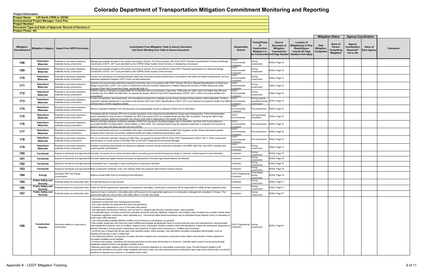$\blacksquare$ 

|                    |                                 | <b>Mitigation Status</b>                             | <b>Agency Coordination</b>                       |                        |                 |
|--------------------|---------------------------------|------------------------------------------------------|--------------------------------------------------|------------------------|-----------------|
| $\mathsf{n}$<br>ly | Date<br>Mitigation<br>Completed | Name of<br>Person<br>Completing<br><b>Mitigation</b> | Agency<br>Coordination<br>Required?<br>Yes or No | Name of<br>Each Agency | <b>Comments</b> |
|                    |                                 |                                                      |                                                  |                        |                 |
|                    |                                 |                                                      |                                                  |                        |                 |
|                    |                                 |                                                      |                                                  |                        |                 |
|                    |                                 |                                                      |                                                  |                        |                 |
|                    |                                 |                                                      |                                                  |                        |                 |
|                    |                                 |                                                      |                                                  |                        |                 |
|                    |                                 |                                                      |                                                  |                        |                 |
|                    |                                 |                                                      |                                                  |                        |                 |
|                    |                                 |                                                      |                                                  |                        |                 |
|                    |                                 |                                                      |                                                  |                        |                 |
|                    |                                 |                                                      |                                                  |                        |                 |
|                    |                                 |                                                      |                                                  |                        |                 |
|                    |                                 |                                                      |                                                  |                        |                 |
|                    |                                 |                                                      |                                                  |                        |                 |
|                    |                                 |                                                      |                                                  |                        |                 |
|                    |                                 |                                                      |                                                  |                        |                 |
|                    |                                 |                                                      |                                                  |                        |                 |
|                    |                                 |                                                      |                                                  |                        |                 |
|                    |                                 |                                                      |                                                  |                        |                 |
|                    |                                 |                                                      |                                                  |                        |                 |
|                    |                                 |                                                      |                                                  |                        |                 |

**Document Type and Date of Approval: Record of Decision 4 Project Phase: 4th**

**Project Number: Environmental Project Manager: Carol Parr Project Name: I-25 North CR56 to US392**

| <b>Mitigation</b><br><b>Commitment#</b> |                                             | Mitigation Category   Impact from NEPA Document                   | <b>Commitment From Mitigation Table In Source Document</b><br>Use Exact Wording from Table in Source Document                                                                                                                                                                                                                                                                                                                                                                                                                                                                                                                                                                                                                                                                                                                                                                                                                                                                                                                                                                                                                                                                                                                                                                                                                                                                                                                                                                                                                                                                                                                                                                                                                                                                                                                                                                                                                                                                                                                                                                                                                                                                                             | Responsible<br><b>Branch</b>           | <b>Timing/Phase</b><br>of<br>Construction<br><b>Mitigation to</b>   | <b>Source</b><br>Document of<br><b>Mitigation</b><br>Commitment<br>be Constructed and Page Number | <b>Location of</b><br>Mitigation(s) in Plan<br><b>Sheets/Specs</b><br><b>Include All Page</b><br><b>Numbers that Apply</b> |
|-----------------------------------------|---------------------------------------------|-------------------------------------------------------------------|-----------------------------------------------------------------------------------------------------------------------------------------------------------------------------------------------------------------------------------------------------------------------------------------------------------------------------------------------------------------------------------------------------------------------------------------------------------------------------------------------------------------------------------------------------------------------------------------------------------------------------------------------------------------------------------------------------------------------------------------------------------------------------------------------------------------------------------------------------------------------------------------------------------------------------------------------------------------------------------------------------------------------------------------------------------------------------------------------------------------------------------------------------------------------------------------------------------------------------------------------------------------------------------------------------------------------------------------------------------------------------------------------------------------------------------------------------------------------------------------------------------------------------------------------------------------------------------------------------------------------------------------------------------------------------------------------------------------------------------------------------------------------------------------------------------------------------------------------------------------------------------------------------------------------------------------------------------------------------------------------------------------------------------------------------------------------------------------------------------------------------------------------------------------------------------------------------------|----------------------------------------|---------------------------------------------------------------------|---------------------------------------------------------------------------------------------------|----------------------------------------------------------------------------------------------------------------------------|
| 168                                     | <b>Hazardous</b><br>Materials               | Potential to encounter hazardous<br>materials during construction | Manage groundwater brought to the surface according to Section 107.25 and Section 250 of the CDOT Standard Specifications for Road and Bridge<br>Construction (CDOT, 2011) and permitted by the CDPHE Water Quality Control Division, if dewatering is necessary.                                                                                                                                                                                                                                                                                                                                                                                                                                                                                                                                                                                                                                                                                                                                                                                                                                                                                                                                                                                                                                                                                                                                                                                                                                                                                                                                                                                                                                                                                                                                                                                                                                                                                                                                                                                                                                                                                                                                         | CDOT<br>Environmental<br>Contractor    | During<br>construction                                              | ROD4, Page 72                                                                                     |                                                                                                                            |
| 169                                     | <b>Hazardous</b><br>Materials               | Potential to encounter hazardous<br>materials during construction | Manage groundwater brought to the surface according to Section 107.25 and 250.03 of the CDOT Standard Specifications for Road and Bridge<br>Construction (CDOT, 2011) and permitted by the CDPHE Water Quality Control Division.                                                                                                                                                                                                                                                                                                                                                                                                                                                                                                                                                                                                                                                                                                                                                                                                                                                                                                                                                                                                                                                                                                                                                                                                                                                                                                                                                                                                                                                                                                                                                                                                                                                                                                                                                                                                                                                                                                                                                                          | CDOT<br>Environmental/<br>Contractor   | During<br>construction                                              | ROD4, Page 72                                                                                     |                                                                                                                            |
| 170                                     | Hazardous<br>Materials                      | Potential to encounter hazardous<br>materials during construction | Conduct the relocations of overhead electrical utility lines and pole-mounted transformers in accordance with state and federal requirements, and any<br>easement agreement between CDOT and/or private landowners.                                                                                                                                                                                                                                                                                                                                                                                                                                                                                                                                                                                                                                                                                                                                                                                                                                                                                                                                                                                                                                                                                                                                                                                                                                                                                                                                                                                                                                                                                                                                                                                                                                                                                                                                                                                                                                                                                                                                                                                       | CDOT<br>Environmental/<br>Contractor   | During<br>construction                                              | ROD4, Page 72                                                                                     |                                                                                                                            |
| 171                                     | Hazardous<br>Materials                      | Potential to encounter hazardous<br>materials during construction | Abandon and plug all wells within the proposed construction area in accordance with CDOT Section 202.02 in Standard Specifications for Road and<br>Bridge Construction (CDOT, 2011) and in conformance with the Colorado Department of Natural Resources Division of Water Resources State<br>Engineer Water Well Construction Rules, specifically Rule 16.                                                                                                                                                                                                                                                                                                                                                                                                                                                                                                                                                                                                                                                                                                                                                                                                                                                                                                                                                                                                                                                                                                                                                                                                                                                                                                                                                                                                                                                                                                                                                                                                                                                                                                                                                                                                                                               | CDOT<br>Environmental<br>Contractor    | During<br>construction                                              | ROD4, Page 72                                                                                     |                                                                                                                            |
| 172                                     | Hazardous<br><b>Materials</b>               | Potential to encounter hazardous<br>materials during construction | Perform cleanup if petroleum-contaminated soil is identified with a concentration of less than 1,000 parts per million (ppm) but higher than 500 ppm.<br>Consider use of an MMP and H&S Plan, as required by Section 250.03 of the CDOT Specifications (CDOT, 2011), when oil and gas facilities are<br>encountered.                                                                                                                                                                                                                                                                                                                                                                                                                                                                                                                                                                                                                                                                                                                                                                                                                                                                                                                                                                                                                                                                                                                                                                                                                                                                                                                                                                                                                                                                                                                                                                                                                                                                                                                                                                                                                                                                                      | CDOT<br>Environmental<br>Contractor    | During<br>construction                                              | ROD4, Page 72                                                                                     |                                                                                                                            |
| 173                                     | Hazardous<br>Materials                      | Potential to encounter hazardous<br>materials during construction | Conduct an asbestos, lead-based paint, and miscellaneous hazardous materials survey at each property being acquired, where applicable. Conduct<br>regulated materials abatement in accordance with Section 250 of the CDOT Specifications (CDOT, 2011) and relevant Occupational Health and Safety Environmental/<br>Administration (OSHA) regulatory details.                                                                                                                                                                                                                                                                                                                                                                                                                                                                                                                                                                                                                                                                                                                                                                                                                                                                                                                                                                                                                                                                                                                                                                                                                                                                                                                                                                                                                                                                                                                                                                                                                                                                                                                                                                                                                                            | <b>CDOT</b><br>Contractor              | During property<br>acquisition/during ROD4, Page 72<br>construction |                                                                                                   |                                                                                                                            |
| 174                                     | Hazardous<br><b>Materials</b>               | Potential to encounter hazardous<br>materials during construction | Remove regulated materials from any structures and appropriately recycle or dispose of them prior to demolition.                                                                                                                                                                                                                                                                                                                                                                                                                                                                                                                                                                                                                                                                                                                                                                                                                                                                                                                                                                                                                                                                                                                                                                                                                                                                                                                                                                                                                                                                                                                                                                                                                                                                                                                                                                                                                                                                                                                                                                                                                                                                                          | CDOT<br>Environmental/<br>Contractor   | Pre-construction                                                    | ROD4, Page 72                                                                                     |                                                                                                                            |
| 175                                     | Hazardous<br>Materials                      | Potential to encounter hazardous<br>materials during construction | Coordinate with the Colorado OPS prior to parcel acquisition of any sites that are identified as having active leaking tanks. If site characterization<br>and/or remediation have not been completed, the OPS may require CDOT to complete these activities after acquisition. During the right-of-way<br>acquisition process, additional properties may require other actions depending on the results of the ISAs.                                                                                                                                                                                                                                                                                                                                                                                                                                                                                                                                                                                                                                                                                                                                                                                                                                                                                                                                                                                                                                                                                                                                                                                                                                                                                                                                                                                                                                                                                                                                                                                                                                                                                                                                                                                      | CDOT<br>Environmental                  | During property<br>acquisition                                      | ROD4, Page 72                                                                                     |                                                                                                                            |
| 176                                     | Hazardous<br>Materials                      | Potential to encounter hazardous<br>materials during construction | Remove all friable asbestos-containing materials (ACM) from structures (including bridges) prior to demolition, and from soils if encountered in<br>excavated landfill or building debris, buried utilities, or other ACM. The contractor performing the asbestos abatement is required to be licensed to<br>perform such work and obtain permits from the CDPHE.                                                                                                                                                                                                                                                                                                                                                                                                                                                                                                                                                                                                                                                                                                                                                                                                                                                                                                                                                                                                                                                                                                                                                                                                                                                                                                                                                                                                                                                                                                                                                                                                                                                                                                                                                                                                                                         | CDOT<br>Environmental/<br>Contractor   | Pre-construction                                                    | ROD4, Page 72                                                                                     |                                                                                                                            |
| 177                                     | Hazardous<br>Materials                      | Potential to encounter hazardous<br>materials during construction | Remove lead-based paint prior to demolition if the lead is leachable at concentrations greater than regulatory levels. Where lead-based painted<br>surfaces will be removed via torching, additional health and safety monitoring requirements apply.                                                                                                                                                                                                                                                                                                                                                                                                                                                                                                                                                                                                                                                                                                                                                                                                                                                                                                                                                                                                                                                                                                                                                                                                                                                                                                                                                                                                                                                                                                                                                                                                                                                                                                                                                                                                                                                                                                                                                     | CDOT<br>Environmental/<br>Contractor   | Pre-construction                                                    | ROD4, Page 72                                                                                     |                                                                                                                            |
| 178                                     | Hazardous<br><b>Materials</b>               | Potential to encounter hazardous<br>materials during construction | Prior to construction activities, develop an H&S Plan, as required by Section 250.03 of the CDOT Specifications (CDOT, 2011). Write construction<br>specifications to include review of the H&S Plan by the CDOT Regional Environmental Manager.                                                                                                                                                                                                                                                                                                                                                                                                                                                                                                                                                                                                                                                                                                                                                                                                                                                                                                                                                                                                                                                                                                                                                                                                                                                                                                                                                                                                                                                                                                                                                                                                                                                                                                                                                                                                                                                                                                                                                          | CDOT<br>Environmental/<br>Contractor   | Pre-construction                                                    | ROD4, Page 73                                                                                     |                                                                                                                            |
| 179                                     | Hazardous<br>Materials                      | Potential to encounter hazardous<br>materials during construction | Establish monitoring requirements for hazardous materials concerns during construction activities in the MMP H&S Plan, and CDOT standard and<br>project-specific specifications.                                                                                                                                                                                                                                                                                                                                                                                                                                                                                                                                                                                                                                                                                                                                                                                                                                                                                                                                                                                                                                                                                                                                                                                                                                                                                                                                                                                                                                                                                                                                                                                                                                                                                                                                                                                                                                                                                                                                                                                                                          | CDOT<br>Environmental<br>Contractor    | During<br>construction                                              | ROD4, Page 73                                                                                     |                                                                                                                            |
| 180                                     | <b>Farmlands</b>                            | mpacts to farmlands and agricultural                              | Consider conversion of non-prime farmland before converting prime farmland during final design to minimize overall impacts to prime farmland                                                                                                                                                                                                                                                                                                                                                                                                                                                                                                                                                                                                                                                                                                                                                                                                                                                                                                                                                                                                                                                                                                                                                                                                                                                                                                                                                                                                                                                                                                                                                                                                                                                                                                                                                                                                                                                                                                                                                                                                                                                              | Contractor                             | During<br>construction                                              | ROD4, Page 75                                                                                     |                                                                                                                            |
| 181                                     | <b>Farmlands</b>                            | mpacts to farmlands and agricultural                              | Consider replacing irrigation ditches and pipes as appropriate if important agricultural features are affected.                                                                                                                                                                                                                                                                                                                                                                                                                                                                                                                                                                                                                                                                                                                                                                                                                                                                                                                                                                                                                                                                                                                                                                                                                                                                                                                                                                                                                                                                                                                                                                                                                                                                                                                                                                                                                                                                                                                                                                                                                                                                                           | Contractor                             | During<br>construction                                              | ROD4, Page 75                                                                                     |                                                                                                                            |
| 182                                     | <b>Farmlands</b>                            |                                                                   | Impacts to farmlands and agricultural Compensate loss or damage to crops resulting from construction activities                                                                                                                                                                                                                                                                                                                                                                                                                                                                                                                                                                                                                                                                                                                                                                                                                                                                                                                                                                                                                                                                                                                                                                                                                                                                                                                                                                                                                                                                                                                                                                                                                                                                                                                                                                                                                                                                                                                                                                                                                                                                                           | Contractor                             | During<br>construction                                              | ROD4, Page 75                                                                                     |                                                                                                                            |
| 183                                     | <b>Farmlands</b>                            |                                                                   | mpacts to farmlands and agricultural (Keep construction materials, tools, and vehicles within the proposed right-of-way to reduce impacts                                                                                                                                                                                                                                                                                                                                                                                                                                                                                                                                                                                                                                                                                                                                                                                                                                                                                                                                                                                                                                                                                                                                                                                                                                                                                                                                                                                                                                                                                                                                                                                                                                                                                                                                                                                                                                                                                                                                                                                                                                                                 | Contractor                             | During<br>construction                                              | ROD4, Page 75                                                                                     |                                                                                                                            |
| 184                                     | Energy                                      | Increased VMT and Energy<br>Consumption                           | Reduce overall traffic time by increasing travel efficiency.                                                                                                                                                                                                                                                                                                                                                                                                                                                                                                                                                                                                                                                                                                                                                                                                                                                                                                                                                                                                                                                                                                                                                                                                                                                                                                                                                                                                                                                                                                                                                                                                                                                                                                                                                                                                                                                                                                                                                                                                                                                                                                                                              | CDOT Engineering/<br>Contractor        | Final design/<br>during<br>construction                             | ROD4, Page 76                                                                                     |                                                                                                                            |
| 185                                     | <b>Public Safety and</b><br><b>Security</b> | Potential losses at construction sites                            | Provide fencing and on-site security                                                                                                                                                                                                                                                                                                                                                                                                                                                                                                                                                                                                                                                                                                                                                                                                                                                                                                                                                                                                                                                                                                                                                                                                                                                                                                                                                                                                                                                                                                                                                                                                                                                                                                                                                                                                                                                                                                                                                                                                                                                                                                                                                                      | Contractor                             | During<br>construction                                              | ROD4, Page 77                                                                                     |                                                                                                                            |
| 186                                     | <b>Public Safety and</b><br><b>Security</b> | Potential losses at construction sites                            | Follow all OSHA requirements applicable to construction site safety. Construction contractors will be responsible for safety at their respective sites.                                                                                                                                                                                                                                                                                                                                                                                                                                                                                                                                                                                                                                                                                                                                                                                                                                                                                                                                                                                                                                                                                                                                                                                                                                                                                                                                                                                                                                                                                                                                                                                                                                                                                                                                                                                                                                                                                                                                                                                                                                                   | Contractor                             | During<br>construction                                              | ROD4, Page 77                                                                                     |                                                                                                                            |
| 187                                     | <b>Public Safety and</b><br><b>Security</b> | Potential losses at construction sites                            | Approval of each contractor's site safety plans will be given by the appropriate agencies or a construction management consultant, if chosen. The<br>appropriate agencies will provide a site safety officer to monitor site safety.                                                                                                                                                                                                                                                                                                                                                                                                                                                                                                                                                                                                                                                                                                                                                                                                                                                                                                                                                                                                                                                                                                                                                                                                                                                                                                                                                                                                                                                                                                                                                                                                                                                                                                                                                                                                                                                                                                                                                                      | Contractor                             | During<br>construction                                              | ROD4, Page 77                                                                                     |                                                                                                                            |
| 188                                     | Construction<br>Impacts                     | Short-term effects to noise due to<br>construction                | Use enhanced signing.<br>Implement construction best management practices.<br>Use noise blankets on equipment and quiet-use generators.<br>Combine noisy operations to occur in the same time period.<br>Use alternative construction methods, such as sonic or vibratory pile-driving in sensitive areas, when possible.<br>In residential areas, minimize construction activities during the evening, nighttime, weekends, and holidays when receptors are usually in these areas.<br>Implement nighttime construction when desirable (e.g., commercial areas where businesses may be disrupted during daytime hours) or necessary to<br>avoid major traffic disruption.<br>• Use commercially available effective mufflers and enclosures on all engines, as possible.<br>Use modern equipment with improved noise muffling and evaluate all equipment items to ensure that they have the manufacturers' recommended<br>noise abatement measure, such as mufflers, engine covers, and engine vibration isolators intact and operational. Inspect all construction equipment at<br>periodic intervals to ensure proper maintenance and presence of noise-control devices (e.g., mufflers and shrouding).<br>• Avoid the use of impact pile driving near noise sensitive areas, where possible. Use alternative foundation preparation technologies, such as<br>vibratory pile driving or cast in drilled hole.<br>Use temporary barriers, as required, to protect sensitive receptors from excessive construction noise. Make noise barriers of heavy plywood or<br>moveable insulated sound blankets.<br>Conduct truck loading, unloading, and hauling operations so that noise will be kept to a minimum. Carefully select routes to avoid going through<br>residential neighborhoods to the greatest possible extent.<br>• Maintain good public relations with the community to minimize objections to unavoidable construction noise. Provide frequent updates of all<br>construction activities to the public. Keep residents informed so they may plan around periods of particularly high noise levels and provide a conduit for<br>residents to express any concerns or complaints about noise. | CDOT Engineering/ During<br>Contractor | construction                                                        | ROD4, Page 81                                                                                     |                                                                                                                            |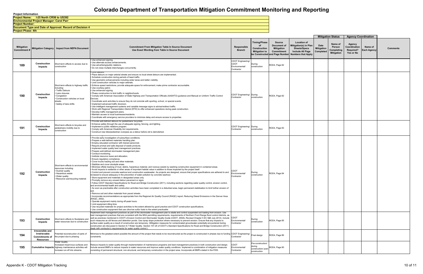**Project Phase: 4th**

**Project Number: Document Type and Date of Approval: Record of Decision 4 Environmental Project Manager: Carol Parr Project Name: I-25 North CR56 to US392**

|            |                                                                                |                                                                                                                                                                                 |                                                                                                                                                                                                                                                                                                                                                                                                                                                                                                                                                                                                                                                                                                                                                                                                                                                                                                                                                                                                                                                                                                                                                                                                                                                                                                                                                                                                                                                                                                                                                                                                                                                                                                                                                                                                                                                                                                                                                                                                                                                                                      |                                                           |                                                                    |                                                          |                                                                                                                                             | <b>Mitigation Status</b><br><b>Agency Coordination</b> |                                                      |                                                         |                               |                 |
|------------|--------------------------------------------------------------------------------|---------------------------------------------------------------------------------------------------------------------------------------------------------------------------------|--------------------------------------------------------------------------------------------------------------------------------------------------------------------------------------------------------------------------------------------------------------------------------------------------------------------------------------------------------------------------------------------------------------------------------------------------------------------------------------------------------------------------------------------------------------------------------------------------------------------------------------------------------------------------------------------------------------------------------------------------------------------------------------------------------------------------------------------------------------------------------------------------------------------------------------------------------------------------------------------------------------------------------------------------------------------------------------------------------------------------------------------------------------------------------------------------------------------------------------------------------------------------------------------------------------------------------------------------------------------------------------------------------------------------------------------------------------------------------------------------------------------------------------------------------------------------------------------------------------------------------------------------------------------------------------------------------------------------------------------------------------------------------------------------------------------------------------------------------------------------------------------------------------------------------------------------------------------------------------------------------------------------------------------------------------------------------------|-----------------------------------------------------------|--------------------------------------------------------------------|----------------------------------------------------------|---------------------------------------------------------------------------------------------------------------------------------------------|--------------------------------------------------------|------------------------------------------------------|---------------------------------------------------------|-------------------------------|-----------------|
| Mitigation |                                                                                | Mitigation Category   Impact from NEPA Document                                                                                                                                 | <b>Commitment From Mitigation Table In Source Document</b><br>Use Exact Wording from Table in Source Document                                                                                                                                                                                                                                                                                                                                                                                                                                                                                                                                                                                                                                                                                                                                                                                                                                                                                                                                                                                                                                                                                                                                                                                                                                                                                                                                                                                                                                                                                                                                                                                                                                                                                                                                                                                                                                                                                                                                                                        | Responsible<br><b>Branch</b>                              | Timing/Phase<br>Construction<br><b>Mitigation to</b>               | Source<br>Document of<br><b>Mitigation</b><br>Commitment | <b>Location of</b><br>Mitigation(s) in Plan<br><b>Sheets/Specs</b><br>Include All Page<br>be Constructed and Page Number Numbers that Apply | <b>Date</b><br><b>Mitigation</b><br>Completed          | Name of<br>Person<br>Completing<br><b>Mitigation</b> | Agency<br>Coordination<br><b>Required?</b><br>Yes or No | Name of<br><b>Each Agency</b> | <b>Comments</b> |
| 189        | Construction<br>Impacts                                                        | Short-term effects to access due to<br>construction                                                                                                                             | Use enhanced signing.<br>Use alternate access enhancements.<br>Use advertising/public relations.<br>• Do not close multiple interchanges concurrently.                                                                                                                                                                                                                                                                                                                                                                                                                                                                                                                                                                                                                                                                                                                                                                                                                                                                                                                                                                                                                                                                                                                                                                                                                                                                                                                                                                                                                                                                                                                                                                                                                                                                                                                                                                                                                                                                                                                               | CDOT Engineering/<br>CDOT<br>Environmental/<br>Contractor | During<br>construction                                             | ROD4, Page 82                                            |                                                                                                                                             |                                                        |                                                      |                                                         |                               |                 |
| 190        | Construction<br>Impacts                                                        | Short-term effects to highway traffic<br>including:<br>· Traffic Detours<br>Lane closures<br>Congestion<br>Construction vehicles on local<br>streets<br>· Safety of lane shifts | Limit detours.<br>Place detours on major arterial streets and ensure no local street detours are implemented.<br>Schedule construction during periods of least traffic.<br>• Use geometric enhancements including wider lanes and better visibility.<br>Limit construction vehicles to major arterials.<br>· Enforce speed restrictions; provide adequate space for enforcement; make prime contractor accountable.<br>Use courtesy patrol.<br>• Use enhanced signing.<br>· Phase construction to limit traffic in neighborhoods.<br>• Comply with American Association of State Highway and Transportation Officials (AASHTO) guidance and Manual on Uniform Traffic Control<br>Devices.<br>Coordinate work activities to ensure they do not coincide with sporting, school, or special events.<br>Implement advanced traffic diversion.<br>• Use intelligent management systems and variable message signs to advise/redirect traffic.<br>. Work with Regional Transportation District (RTD) to offer enhanced operations during peak construction.<br>· Develop traffic management plans.<br>· Maintain access to local businesses/residents.<br>Coordinate with emergency service providers to minimize delay and ensure access to properties.                                                                                                                                                                                                                                                                                                                                                                                                                                                                                                                                                                                                                                                                                                                                                                                                                                   | CDOT Engineering/ During<br>Contractor                    | construction                                                       | ROD4, Page 82                                            |                                                                                                                                             |                                                        |                                                      |                                                         |                               |                 |
| 191        | Construction<br>Impacts                                                        | Short-term effects to bicycles and<br>pedestrians mobility due to<br>construction                                                                                               | Provide well-defined detours for pedestrians/ bicyclists.<br>Enhance safety through the use of adequate signing, fencing, and lighting.<br>Implement a public relations program.<br>Comply with American Disability Act requirements.<br>Construct new bike/pedestrian overpass as a detour before old is demolished.                                                                                                                                                                                                                                                                                                                                                                                                                                                                                                                                                                                                                                                                                                                                                                                                                                                                                                                                                                                                                                                                                                                                                                                                                                                                                                                                                                                                                                                                                                                                                                                                                                                                                                                                                                | CDOT Engineering/ During<br>Contractor                    | construction                                                       | ROD4, Page 83                                            |                                                                                                                                             |                                                        |                                                      |                                                         |                               |                 |
| 192        | Construction<br>Impacts                                                        | Short-term effects to environmental<br>resources including:<br>· Dust/air quality<br>Hazardous waste<br>• Water quality<br>· Resource use/recycling material                    | Provide early investigation of subsurface conditions.<br>Prepare a well-defined materials handling plan.<br>· Employ educated contractor with trained personnel.<br>Require prompt and safe disposal of waste products.<br>Implement water quality best management practices<br>Prepare well-defined stormwater management plan.<br>• Conduct monitoring.<br>Institute resource reuse and allocation.<br>· Ensure regulatory compliance.<br>• Cover trucks hauling soil and other materials.<br>Stabilize and cover stockpile areas.<br>Minimize offsite tracking of mud, debris, hazardous material, and noxious weeds by washing construction equipment in contained areas.<br>Avoid impacts to wetlands or other areas of important habitat value in addition to those impacted by the project itself.<br>Control and prevent concrete washout and construction wastewater. As projects are designed, ensure that proper specifications are adhered to and<br>reviewed to ensure adequacy in the prevention of water pollution by concrete washout.<br>Store equipment and materials in designated areas only.<br>Promptly remove any unused detour pavement or signs.<br>Follow CDOT Standard Specifications for Road and Bridge Construction (2011), including sections regarding water quality control, erosion control,<br>and environmental health and safety.<br>• As soon as practicable after construction activities have been completed in a disturbed area, begin permanent stabilization to limit further erosion of<br>soil.<br>· Remove soil and other materials from paved streets.<br>Incorporate recommendations as appropriate from the Regional Air Quality Council (RAQC) report, Reducing Diesel Emissions in the Denver Area<br>(RAQC, 2002).<br>Operate equipment mainly during off-peak hours.<br>Limit equipment idling time.<br>• Use recycled materials for project activities to the extent allowed by good practice and CDOT construction specifications.<br>. Use construction equipment that use ultra-low sulfur fuels to the extent practicable. | <b>CDOT</b><br>Environmental/<br>Contractor               | During<br>construction                                             | ROD4, Page 84                                            |                                                                                                                                             |                                                        |                                                      |                                                         |                               |                 |
| 193        | Construction<br>Impacts                                                        | Short-term effects to floodplains and<br>water resources due to construction                                                                                                    | mplement best management practices as part of the stormwater management plan to abate and control suspended soil loading from erosion. Use<br>best management practices that are consistent with the MS4 permitting requirements, requirements of Northern Front Range flood control districts, as<br>well as practices mentioned in CDOT's Erosion Control and Stormwater Quality Guide (CDOT, 2002b, Revised Chapter 5 EC 5&6 July 2014). Include CDOT<br>uch measures as silt fences and detention ponds. Use riprap slope protection where necessary to prevent erosion. Ensure that any impacts to<br>surface water quality as a result of construction are temporary. (Mitigation measures for contaminated groundwater potentially encountered during<br>construction are discussed in Section 6.7 Water Quality. Section 107.25 of CDOT's Standard Specifications for Road and Bridge Construction (2011)<br>deals with contractor's requirements for water quality control.)                                                                                                                                                                                                                                                                                                                                                                                                                                                                                                                                                                                                                                                                                                                                                                                                                                                                                                                                                                                                                                                                                                | invironmental/<br>Contractor                              | During<br>construction                                             | ROD4, Page 85                                            |                                                                                                                                             |                                                        |                                                      |                                                         |                               |                 |
| 194        | Irreversible and<br>Irretrievable<br><b>Commitments of</b><br><b>Resources</b> | Potential reconstruction of parts of<br>the project due to phasing                                                                                                              | Minimize to the greatest extent possible the amount of the project that needs to be reconstructed as the project is constructed in phases due to funding CDOT Engineering/<br>constraints.                                                                                                                                                                                                                                                                                                                                                                                                                                                                                                                                                                                                                                                                                                                                                                                                                                                                                                                                                                                                                                                                                                                                                                                                                                                                                                                                                                                                                                                                                                                                                                                                                                                                                                                                                                                                                                                                                           | Contractor                                                | Final design                                                       | ROD4, Page 86                                            |                                                                                                                                             |                                                        |                                                      |                                                         |                               |                 |
| 195        |                                                                                | <b>Water Quality</b><br>Increased impervious surfaces and<br>Cumulative Impacts highway maintenance activities will<br>increase run-off into streams.                           | Reduce impacts to water quality through implementation of maintenance programs and best management practices in both construction and design.<br>Include several BMPs to reduce impacts to water resources and improve water quality conditions. Implement a combination of mitigation measures<br>consisting of permanent structural, non-structural, and temporary construction in the project area. Incorporate all BMPs stated in the FEIS.                                                                                                                                                                                                                                                                                                                                                                                                                                                                                                                                                                                                                                                                                                                                                                                                                                                                                                                                                                                                                                                                                                                                                                                                                                                                                                                                                                                                                                                                                                                                                                                                                                      | CDOT<br>Environmental/<br>Contractor                      | Pre-construction/<br>during<br>construction/ post-<br>construction | ROD4, Page 90                                            |                                                                                                                                             |                                                        |                                                      |                                                         |                               |                 |
|            |                                                                                |                                                                                                                                                                                 |                                                                                                                                                                                                                                                                                                                                                                                                                                                                                                                                                                                                                                                                                                                                                                                                                                                                                                                                                                                                                                                                                                                                                                                                                                                                                                                                                                                                                                                                                                                                                                                                                                                                                                                                                                                                                                                                                                                                                                                                                                                                                      |                                                           |                                                                    |                                                          |                                                                                                                                             |                                                        |                                                      |                                                         |                               |                 |